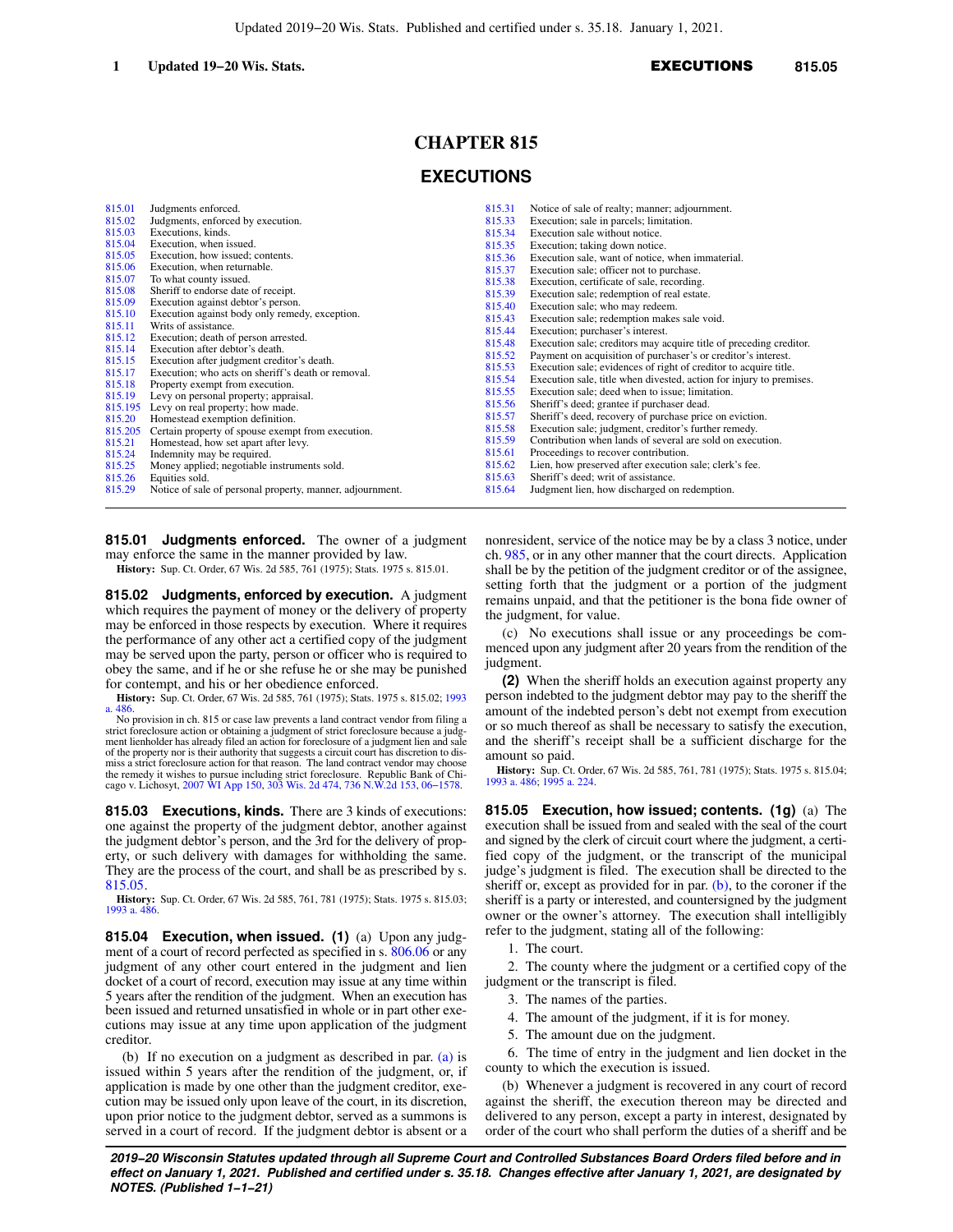# **CHAPTER 815**

## **EXECUTIONS**

| 815.01            | Judgments enforced.                                                                       | 815.31 | Notice of sale of realty; manner; adjournment.                      |
|-------------------|-------------------------------------------------------------------------------------------|--------|---------------------------------------------------------------------|
| 815.02            | Judgments, enforced by execution.                                                         | 815.33 | Execution; sale in parcels; limitation.                             |
| 815.03            | Executions, kinds.                                                                        | 815.34 | Execution sale without notice.                                      |
| 815.04            | Execution, when issued.                                                                   | 815.35 | Execution; taking down notice.                                      |
| 815.05            | Execution, how issued; contents.                                                          | 815.36 | Execution sale, want of notice, when immaterial.                    |
| 815.06            | Execution, when returnable.                                                               | 815.37 | Execution sale; officer not to purchase.                            |
| 815.07            | To what county issued.                                                                    | 815.38 | Execution, certificate of sale, recording.                          |
| 815.08            | Sheriff to endorse date of receipt.                                                       | 815.39 | Execution sale; redemption of real estate.                          |
| 815.09            | Execution against debtor's person.                                                        | 815.40 | Execution sale; who may redeem.                                     |
| 815.10            | Execution against body only remedy, exception.                                            | 815.43 | Execution sale; redemption makes sale void.                         |
| 815.11            | Writs of assistance.                                                                      | 815.44 | Execution; purchaser's interest.                                    |
| 815.12            | Execution; death of person arrested.                                                      | 815.48 | Execution sale; creditors may acquire title of preceding creditor.  |
| 815.14            | Execution after debtor's death.                                                           | 815.52 | Payment on acquisition of purchaser's or creditor's interest.       |
| 815.15            | Execution after judgment creditor's death.                                                | 815.53 | Execution sale; evidences of right of creditor to acquire title.    |
| 815.17            | Execution; who acts on sheriff's death or removal.                                        | 815.54 | Execution sale, title when divested, action for injury to premises. |
| 815.18            | Property exempt from execution.                                                           | 815.55 | Execution sale; deed when to issue; limitation.                     |
| 815.19            | Levy on personal property; appraisal.                                                     | 815.56 | Sheriff's deed; grantee if purchaser dead.                          |
| 815.195<br>815.20 | Levy on real property; how made.                                                          | 815.57 | Sheriff's deed, recovery of purchase price on eviction.             |
| 815.205           | Homestead exemption definition.                                                           | 815.58 | Execution sale; judgment, creditor's further remedy.                |
| 815.21            | Certain property of spouse exempt from execution.<br>Homestead, how set apart after levy. | 815.59 | Contribution when lands of several are sold on execution.           |
| 815.24            | Indemnity may be required.                                                                | 815.61 | Proceedings to recover contribution.                                |
| 815.25            | Money applied; negotiable instruments sold.                                               | 815.62 | Lien, how preserved after execution sale; clerk's fee.              |
| 815.26            | Equities sold.                                                                            | 815.63 | Sheriff's deed; writ of assistance.                                 |
| 815.29            | Notice of sale of personal property, manner, adjournment.                                 | 815.64 | Judgment lien, how discharged on redemption.                        |
|                   |                                                                                           |        |                                                                     |

815.01 **Judgments enforced.** The owner of a judgment may enforce the same in the manner provided by law.

**History:** Sup. Ct. Order, 67 Wis. 2d 585, 761 (1975); Stats. 1975 s. 815.01.

**815.02 Judgments, enforced by execution.** A judgment which requires the payment of money or the delivery of property may be enforced in those respects by execution. Where it requires the performance of any other act a certified copy of the judgment may be served upon the party, person or officer who is required to obey the same, and if he or she refuse he or she may be punished for contempt, and his or her obedience enforced.

**History:** Sup. Ct. Order, 67 Wis. 2d 585, 761 (1975); Stats. 1975 s. 815.02; [1993](https://docs-preview.legis.wisconsin.gov/document/acts/1993/486) [a. 486.](https://docs-preview.legis.wisconsin.gov/document/acts/1993/486) No provision in ch. 815 or case law prevents a land contract vendor from filing a

strict foreclosure action or obtaining a judgment of strict foreclosure because a judgment lienholder has already filed an action for foreclosure of a judgment lien and sale of the property nor is their authority that suggests a circuit court has discretion to dis-miss a strict foreclosure action for that reason. The land contract vendor may choose the remedy it wishes to pursue including strict foreclosure. Republic Bank of Chi-cago v. Lichosyt, [2007 WI App 150](https://docs-preview.legis.wisconsin.gov/document/courts/2007%20WI%20App%20150), [303 Wis. 2d 474,](https://docs-preview.legis.wisconsin.gov/document/courts/303%20Wis.%202d%20474) [736 N.W.2d 153](https://docs-preview.legis.wisconsin.gov/document/courts/736%20N.W.2d%20153), [06−1578.](https://docs-preview.legis.wisconsin.gov/document/wicourtofappeals/06-1578)

**815.03 Executions, kinds.** There are 3 kinds of executions: one against the property of the judgment debtor, another against the judgment debtor's person, and the 3rd for the delivery of property, or such delivery with damages for withholding the same. They are the process of the court, and shall be as prescribed by s. [815.05.](https://docs-preview.legis.wisconsin.gov/document/statutes/815.05)

**History:** Sup. Ct. Order, 67 Wis. 2d 585, 761, 781 (1975); Stats. 1975 s. 815.03; [1993 a. 486.](https://docs-preview.legis.wisconsin.gov/document/acts/1993/486)

**815.04 Execution, when issued. (1)** (a) Upon any judgment of a court of record perfected as specified in s. [806.06](https://docs-preview.legis.wisconsin.gov/document/statutes/806.06) or any judgment of any other court entered in the judgment and lien docket of a court of record, execution may issue at any time within 5 years after the rendition of the judgment. When an execution has been issued and returned unsatisfied in whole or in part other executions may issue at any time upon application of the judgment creditor.

(b) If no execution on a judgment as described in par. [\(a\)](https://docs-preview.legis.wisconsin.gov/document/statutes/815.04(1)(a)) is issued within 5 years after the rendition of the judgment, or, if application is made by one other than the judgment creditor, execution may be issued only upon leave of the court, in its discretion, upon prior notice to the judgment debtor, served as a summons is served in a court of record. If the judgment debtor is absent or a nonresident, service of the notice may be by a class 3 notice, under ch. [985](https://docs-preview.legis.wisconsin.gov/document/statutes/ch.%20985), or in any other manner that the court directs. Application shall be by the petition of the judgment creditor or of the assignee, setting forth that the judgment or a portion of the judgment remains unpaid, and that the petitioner is the bona fide owner of the judgment, for value.

(c) No executions shall issue or any proceedings be commenced upon any judgment after 20 years from the rendition of the judgment.

**(2)** When the sheriff holds an execution against property any person indebted to the judgment debtor may pay to the sheriff the amount of the indebted person's debt not exempt from execution or so much thereof as shall be necessary to satisfy the execution, and the sheriff's receipt shall be a sufficient discharge for the amount so paid.

**History:** Sup. Ct. Order, 67 Wis. 2d 585, 761, 781 (1975); Stats. 1975 s. 815.04; [1993 a. 486;](https://docs-preview.legis.wisconsin.gov/document/acts/1993/486) [1995 a. 224.](https://docs-preview.legis.wisconsin.gov/document/acts/1995/224)

**815.05 Execution, how issued; contents. (1g)** (a) The execution shall be issued from and sealed with the seal of the court and signed by the clerk of circuit court where the judgment, a certified copy of the judgment, or the transcript of the municipal judge's judgment is filed. The execution shall be directed to the sheriff or, except as provided for in par.  $(b)$ , to the coroner if the sheriff is a party or interested, and countersigned by the judgment owner or the owner's attorney. The execution shall intelligibly refer to the judgment, stating all of the following:

1. The court.

2. The county where the judgment or a certified copy of the judgment or the transcript is filed.

- 3. The names of the parties.
- 4. The amount of the judgment, if it is for money.
- 5. The amount due on the judgment.

6. The time of entry in the judgment and lien docket in the county to which the execution is issued.

(b) Whenever a judgment is recovered in any court of record against the sheriff, the execution thereon may be directed and delivered to any person, except a party in interest, designated by order of the court who shall perform the duties of a sheriff and be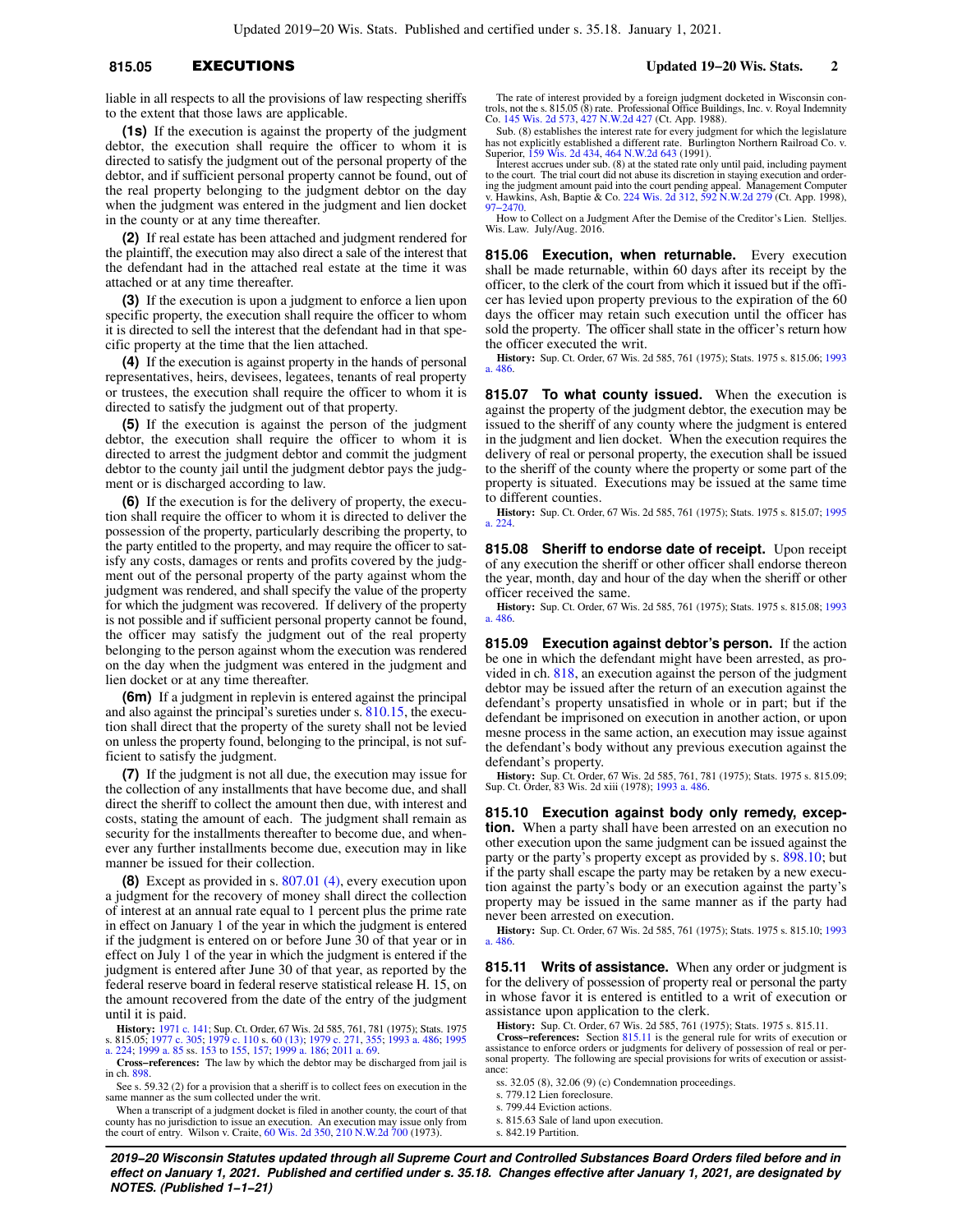### **815.05** EXECUTIONS **Updated 19−20 Wis. Stats. 2**

liable in all respects to all the provisions of law respecting sheriffs to the extent that those laws are applicable.

**(1s)** If the execution is against the property of the judgment debtor, the execution shall require the officer to whom it is directed to satisfy the judgment out of the personal property of the debtor, and if sufficient personal property cannot be found, out of the real property belonging to the judgment debtor on the day when the judgment was entered in the judgment and lien docket in the county or at any time thereafter.

**(2)** If real estate has been attached and judgment rendered for the plaintiff, the execution may also direct a sale of the interest that the defendant had in the attached real estate at the time it was attached or at any time thereafter.

**(3)** If the execution is upon a judgment to enforce a lien upon specific property, the execution shall require the officer to whom it is directed to sell the interest that the defendant had in that specific property at the time that the lien attached.

**(4)** If the execution is against property in the hands of personal representatives, heirs, devisees, legatees, tenants of real property or trustees, the execution shall require the officer to whom it is directed to satisfy the judgment out of that property.

**(5)** If the execution is against the person of the judgment debtor, the execution shall require the officer to whom it is directed to arrest the judgment debtor and commit the judgment debtor to the county jail until the judgment debtor pays the judgment or is discharged according to law.

**(6)** If the execution is for the delivery of property, the execution shall require the officer to whom it is directed to deliver the possession of the property, particularly describing the property, to the party entitled to the property, and may require the officer to satisfy any costs, damages or rents and profits covered by the judgment out of the personal property of the party against whom the judgment was rendered, and shall specify the value of the property for which the judgment was recovered. If delivery of the property is not possible and if sufficient personal property cannot be found, the officer may satisfy the judgment out of the real property belonging to the person against whom the execution was rendered on the day when the judgment was entered in the judgment and lien docket or at any time thereafter.

**(6m)** If a judgment in replevin is entered against the principal and also against the principal's sureties under s. [810.15,](https://docs-preview.legis.wisconsin.gov/document/statutes/810.15) the execution shall direct that the property of the surety shall not be levied on unless the property found, belonging to the principal, is not sufficient to satisfy the judgment.

**(7)** If the judgment is not all due, the execution may issue for the collection of any installments that have become due, and shall direct the sheriff to collect the amount then due, with interest and costs, stating the amount of each. The judgment shall remain as security for the installments thereafter to become due, and whenever any further installments become due, execution may in like manner be issued for their collection.

**(8)** Except as provided in s. [807.01 \(4\),](https://docs-preview.legis.wisconsin.gov/document/statutes/807.01(4)) every execution upon a judgment for the recovery of money shall direct the collection of interest at an annual rate equal to 1 percent plus the prime rate in effect on January 1 of the year in which the judgment is entered if the judgment is entered on or before June 30 of that year or in effect on July 1 of the year in which the judgment is entered if the judgment is entered after June 30 of that year, as reported by the federal reserve board in federal reserve statistical release H. 15, on the amount recovered from the date of the entry of the judgment until it is paid.

**History:** [1971 c. 141;](https://docs-preview.legis.wisconsin.gov/document/acts/1971/141) Sup. Ct. Order, 67 Wis. 2d 585, 761, 781 (1975); Stats. 1975 s. 815.05; [1977 c. 305;](https://docs-preview.legis.wisconsin.gov/document/acts/1977/305) [1979 c. 110](https://docs-preview.legis.wisconsin.gov/document/acts/1979/110) s. [60 \(13\);](https://docs-preview.legis.wisconsin.gov/document/acts/1979/110,%20s.%2060) [1979 c. 271,](https://docs-preview.legis.wisconsin.gov/document/acts/1979/271) [355;](https://docs-preview.legis.wisconsin.gov/document/acts/1979/355) [1993 a. 486](https://docs-preview.legis.wisconsin.gov/document/acts/1993/486); [1995](https://docs-preview.legis.wisconsin.gov/document/acts/1995/224) [a. 224;](https://docs-preview.legis.wisconsin.gov/document/acts/1995/224) [1999 a. 85](https://docs-preview.legis.wisconsin.gov/document/acts/1999/85) ss. [153](https://docs-preview.legis.wisconsin.gov/document/acts/1999/85,%20s.%20153) to [155,](https://docs-preview.legis.wisconsin.gov/document/acts/1999/85,%20s.%20155) [157;](https://docs-preview.legis.wisconsin.gov/document/acts/1999/85,%20s.%20157) [1999 a. 186;](https://docs-preview.legis.wisconsin.gov/document/acts/1999/186) [2011 a. 69](https://docs-preview.legis.wisconsin.gov/document/acts/2011/69).

**Cross−references:** The law by which the debtor may be discharged from jail is in ch. [898.](https://docs-preview.legis.wisconsin.gov/document/statutes/ch.%20898)

See s. 59.32 (2) for a provision that a sheriff is to collect fees on execution in the same manner as the sum collected under the writ.

When a transcript of a judgment docket is filed in another county, the court of that county has no jurisdiction to issue an execution. An execution may issue only from the court of entry. Wilson v. Craite, [60 Wis. 2d 350](https://docs-preview.legis.wisconsin.gov/document/courts/60%20Wis.%202d%20350), [210 N.W.2d 700](https://docs-preview.legis.wisconsin.gov/document/courts/210%20N.W.2d%20700) (1973).

The rate of interest provided by a foreign judgment docketed in Wisconsin controls, not the s. 815.05 (8) rate. Professional Office Buildings, Inc. v. Royal Indemnity Co. [145 Wis. 2d 573,](https://docs-preview.legis.wisconsin.gov/document/courts/145%20Wis.%202d%20573) [427 N.W.2d 427](https://docs-preview.legis.wisconsin.gov/document/courts/427%20N.W.2d%20427) (Ct. App. 1988).

Sub. (8) establishes the interest rate for every judgment for which the legislature has not explicitly established a different rate. Burlington Northern Railroad Co. v.

Superior, [159 Wis. 2d 434](https://docs-preview.legis.wisconsin.gov/document/courts/159%20Wis.%202d%20434), [464 N.W.2d 643](https://docs-preview.legis.wisconsin.gov/document/courts/464%20N.W.2d%20643) (1991). Interest accrues under sub. (8) at the stated rate only until paid, including payment to the court. The trial court did not abuse its discretion in staying execution and ordering the judgment amount paid into the court pending appeal. Management Computer v. Hawkins, Ash, Baptie & Co. [224 Wis. 2d 312,](https://docs-preview.legis.wisconsin.gov/document/courts/224%20Wis.%202d%20312) [592 N.W.2d 279](https://docs-preview.legis.wisconsin.gov/document/courts/592%20N.W.2d%20279) (Ct. App. 1998), [97−2470.](https://docs-preview.legis.wisconsin.gov/document/wicourtofappeals/97-2470)

How to Collect on a Judgment After the Demise of the Creditor's Lien. Stelljes. Wis. Law. July/Aug. 2016.

**815.06 Execution, when returnable.** Every execution shall be made returnable, within 60 days after its receipt by the officer, to the clerk of the court from which it issued but if the officer has levied upon property previous to the expiration of the 60 days the officer may retain such execution until the officer has sold the property. The officer shall state in the officer's return how the officer executed the writ.

**History:** Sup. Ct. Order, 67 Wis. 2d 585, 761 (1975); Stats. 1975 s. 815.06; [1993](https://docs-preview.legis.wisconsin.gov/document/acts/1993/486) [a. 486](https://docs-preview.legis.wisconsin.gov/document/acts/1993/486).

**815.07 To what county issued.** When the execution is against the property of the judgment debtor, the execution may be issued to the sheriff of any county where the judgment is entered in the judgment and lien docket. When the execution requires the delivery of real or personal property, the execution shall be issued to the sheriff of the county where the property or some part of the property is situated. Executions may be issued at the same time to different counties.

**History:** Sup. Ct. Order, 67 Wis. 2d 585, 761 (1975); Stats. 1975 s. 815.07; [1995](https://docs-preview.legis.wisconsin.gov/document/acts/1995/224) [a. 224](https://docs-preview.legis.wisconsin.gov/document/acts/1995/224).

**815.08 Sheriff to endorse date of receipt.** Upon receipt of any execution the sheriff or other officer shall endorse thereon the year, month, day and hour of the day when the sheriff or other officer received the same.

**History:** Sup. Ct. Order, 67 Wis. 2d 585, 761 (1975); Stats. 1975 s. 815.08; [1993](https://docs-preview.legis.wisconsin.gov/document/acts/1993/486) [a. 486](https://docs-preview.legis.wisconsin.gov/document/acts/1993/486).

**815.09 Execution against debtor's person.** If the action be one in which the defendant might have been arrested, as provided in ch. [818](https://docs-preview.legis.wisconsin.gov/document/statutes/ch.%20818), an execution against the person of the judgment debtor may be issued after the return of an execution against the defendant's property unsatisfied in whole or in part; but if the defendant be imprisoned on execution in another action, or upon mesne process in the same action, an execution may issue against the defendant's body without any previous execution against the defendant's property.

**History:** Sup. Ct. Order, 67 Wis. 2d 585, 761, 781 (1975); Stats. 1975 s. 815.09; Sup. Ct. Order, 83 Wis. 2d xiii (1978); [1993 a. 486.](https://docs-preview.legis.wisconsin.gov/document/acts/1993/486)

**815.10 Execution against body only remedy, exception.** When a party shall have been arrested on an execution no other execution upon the same judgment can be issued against the party or the party's property except as provided by s. [898.10](https://docs-preview.legis.wisconsin.gov/document/statutes/898.10); but if the party shall escape the party may be retaken by a new execution against the party's body or an execution against the party's property may be issued in the same manner as if the party had never been arrested on execution.

**History:** Sup. Ct. Order, 67 Wis. 2d 585, 761 (1975); Stats. 1975 s. 815.10; [1993](https://docs-preview.legis.wisconsin.gov/document/acts/1993/486) [a. 486](https://docs-preview.legis.wisconsin.gov/document/acts/1993/486).

**815.11 Writs of assistance.** When any order or judgment is for the delivery of possession of property real or personal the party in whose favor it is entered is entitled to a writ of execution or assistance upon application to the clerk.

**History:** Sup. Ct. Order, 67 Wis. 2d 585, 761 (1975); Stats. 1975 s. 815.11.

**Cross−references:** Section [815.11](https://docs-preview.legis.wisconsin.gov/document/statutes/815.11) is the general rule for writs of execution or assistance to enforce orders or judgments for delivery of possession of real or personal property. The following are special provisions for writs of execution or assistance:

ss. 32.05 (8), 32.06 (9) (c) Condemnation proceedings.

- s. 779.12 Lien foreclosure.
- s. 799.44 Eviction actions.
- s. 815.63 Sale of land upon execution.
- s. 842.19 Partition.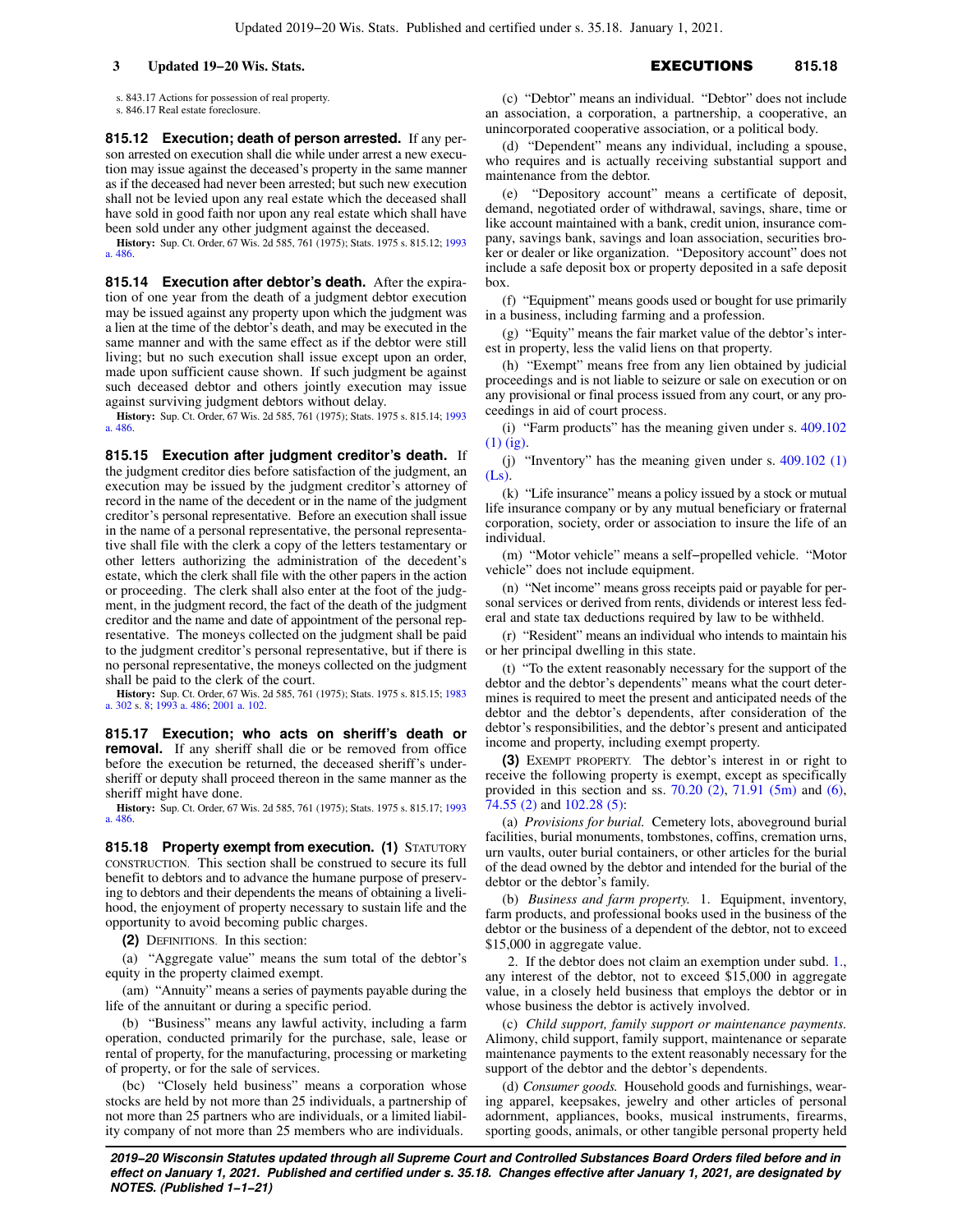s. 843.17 Actions for possession of real property. s. 846.17 Real estate foreclosure.

**815.12 Execution; death of person arrested.** If any person arrested on execution shall die while under arrest a new execution may issue against the deceased's property in the same manner as if the deceased had never been arrested; but such new execution shall not be levied upon any real estate which the deceased shall have sold in good faith nor upon any real estate which shall have been sold under any other judgment against the deceased.

**History:** Sup. Ct. Order, 67 Wis. 2d 585, 761 (1975); Stats. 1975 s. 815.12; [1993](https://docs-preview.legis.wisconsin.gov/document/acts/1993/486) [a. 486.](https://docs-preview.legis.wisconsin.gov/document/acts/1993/486)

**815.14 Execution after debtor's death.** After the expiration of one year from the death of a judgment debtor execution may be issued against any property upon which the judgment was a lien at the time of the debtor's death, and may be executed in the same manner and with the same effect as if the debtor were still living; but no such execution shall issue except upon an order, made upon sufficient cause shown. If such judgment be against such deceased debtor and others jointly execution may issue against surviving judgment debtors without delay.

**History:** Sup. Ct. Order, 67 Wis. 2d 585, 761 (1975); Stats. 1975 s. 815.14; [1993](https://docs-preview.legis.wisconsin.gov/document/acts/1993/486) [a. 486.](https://docs-preview.legis.wisconsin.gov/document/acts/1993/486)

**815.15 Execution after judgment creditor's death.** If the judgment creditor dies before satisfaction of the judgment, an execution may be issued by the judgment creditor's attorney of record in the name of the decedent or in the name of the judgment creditor's personal representative. Before an execution shall issue in the name of a personal representative, the personal representative shall file with the clerk a copy of the letters testamentary or other letters authorizing the administration of the decedent's estate, which the clerk shall file with the other papers in the action or proceeding. The clerk shall also enter at the foot of the judgment, in the judgment record, the fact of the death of the judgment creditor and the name and date of appointment of the personal representative. The moneys collected on the judgment shall be paid to the judgment creditor's personal representative, but if there is no personal representative, the moneys collected on the judgment shall be paid to the clerk of the court.

**History:** Sup. Ct. Order, 67 Wis. 2d 585, 761 (1975); Stats. 1975 s. 815.15; [1983](https://docs-preview.legis.wisconsin.gov/document/acts/1983/302) [a. 302](https://docs-preview.legis.wisconsin.gov/document/acts/1983/302) s. [8](https://docs-preview.legis.wisconsin.gov/document/acts/1983/302,%20s.%208); [1993 a. 486](https://docs-preview.legis.wisconsin.gov/document/acts/1993/486); [2001 a. 102.](https://docs-preview.legis.wisconsin.gov/document/acts/2001/102)

**815.17 Execution; who acts on sheriff's death or removal.** If any sheriff shall die or be removed from office before the execution be returned, the deceased sheriff's undersheriff or deputy shall proceed thereon in the same manner as the sheriff might have done.

**History:** Sup. Ct. Order, 67 Wis. 2d 585, 761 (1975); Stats. 1975 s. 815.17; [1993](https://docs-preview.legis.wisconsin.gov/document/acts/1993/486) [a. 486.](https://docs-preview.legis.wisconsin.gov/document/acts/1993/486)

**815.18 Property exempt from execution. (1) STATUTORY** CONSTRUCTION. This section shall be construed to secure its full benefit to debtors and to advance the humane purpose of preserving to debtors and their dependents the means of obtaining a livelihood, the enjoyment of property necessary to sustain life and the opportunity to avoid becoming public charges.

**(2)** DEFINITIONS. In this section:

(a) "Aggregate value" means the sum total of the debtor's equity in the property claimed exempt.

(am) "Annuity" means a series of payments payable during the life of the annuitant or during a specific period.

(b) "Business" means any lawful activity, including a farm operation, conducted primarily for the purchase, sale, lease or rental of property, for the manufacturing, processing or marketing of property, or for the sale of services.

(bc) "Closely held business" means a corporation whose stocks are held by not more than 25 individuals, a partnership of not more than 25 partners who are individuals, or a limited liability company of not more than 25 members who are individuals.

(c) "Debtor" means an individual. "Debtor" does not include an association, a corporation, a partnership, a cooperative, an unincorporated cooperative association, or a political body.

(d) "Dependent" means any individual, including a spouse, who requires and is actually receiving substantial support and maintenance from the debtor.

(e) "Depository account" means a certificate of deposit, demand, negotiated order of withdrawal, savings, share, time or like account maintained with a bank, credit union, insurance company, savings bank, savings and loan association, securities broker or dealer or like organization. "Depository account" does not include a safe deposit box or property deposited in a safe deposit box.

(f) "Equipment" means goods used or bought for use primarily in a business, including farming and a profession.

(g) "Equity" means the fair market value of the debtor's interest in property, less the valid liens on that property.

(h) "Exempt" means free from any lien obtained by judicial proceedings and is not liable to seizure or sale on execution or on any provisional or final process issued from any court, or any proceedings in aid of court process.

(i) "Farm products" has the meaning given under s. [409.102](https://docs-preview.legis.wisconsin.gov/document/statutes/409.102(1)(ig)) [\(1\) \(ig\).](https://docs-preview.legis.wisconsin.gov/document/statutes/409.102(1)(ig))

(j) "Inventory" has the meaning given under s. [409.102 \(1\)](https://docs-preview.legis.wisconsin.gov/document/statutes/409.102(1)(Ls)) [\(Ls\)](https://docs-preview.legis.wisconsin.gov/document/statutes/409.102(1)(Ls)).

(k) "Life insurance" means a policy issued by a stock or mutual life insurance company or by any mutual beneficiary or fraternal corporation, society, order or association to insure the life of an individual.

(m) "Motor vehicle" means a self−propelled vehicle. "Motor vehicle" does not include equipment.

(n) "Net income" means gross receipts paid or payable for personal services or derived from rents, dividends or interest less federal and state tax deductions required by law to be withheld.

(r) "Resident" means an individual who intends to maintain his or her principal dwelling in this state.

(t) "To the extent reasonably necessary for the support of the debtor and the debtor's dependents" means what the court determines is required to meet the present and anticipated needs of the debtor and the debtor's dependents, after consideration of the debtor's responsibilities, and the debtor's present and anticipated income and property, including exempt property.

**(3)** EXEMPT PROPERTY. The debtor's interest in or right to receive the following property is exempt, except as specifically provided in this section and ss.  $70.20$  (2),  $71.91$  (5m) and [\(6\),](https://docs-preview.legis.wisconsin.gov/document/statutes/71.91(6)) [74.55 \(2\)](https://docs-preview.legis.wisconsin.gov/document/statutes/74.55(2)) and [102.28 \(5\):](https://docs-preview.legis.wisconsin.gov/document/statutes/102.28(5))

(a) *Provisions for burial.* Cemetery lots, aboveground burial facilities, burial monuments, tombstones, coffins, cremation urns, urn vaults, outer burial containers, or other articles for the burial of the dead owned by the debtor and intended for the burial of the debtor or the debtor's family.

(b) *Business and farm property.* 1. Equipment, inventory, farm products, and professional books used in the business of the debtor or the business of a dependent of the debtor, not to exceed \$15,000 in aggregate value.

2. If the debtor does not claim an exemption under subd. [1.,](https://docs-preview.legis.wisconsin.gov/document/statutes/815.18(3)(b)1.) any interest of the debtor, not to exceed \$15,000 in aggregate value, in a closely held business that employs the debtor or in whose business the debtor is actively involved.

(c) *Child support, family support or maintenance payments.* Alimony, child support, family support, maintenance or separate maintenance payments to the extent reasonably necessary for the support of the debtor and the debtor's dependents.

(d) *Consumer goods.* Household goods and furnishings, wearing apparel, keepsakes, jewelry and other articles of personal adornment, appliances, books, musical instruments, firearms, sporting goods, animals, or other tangible personal property held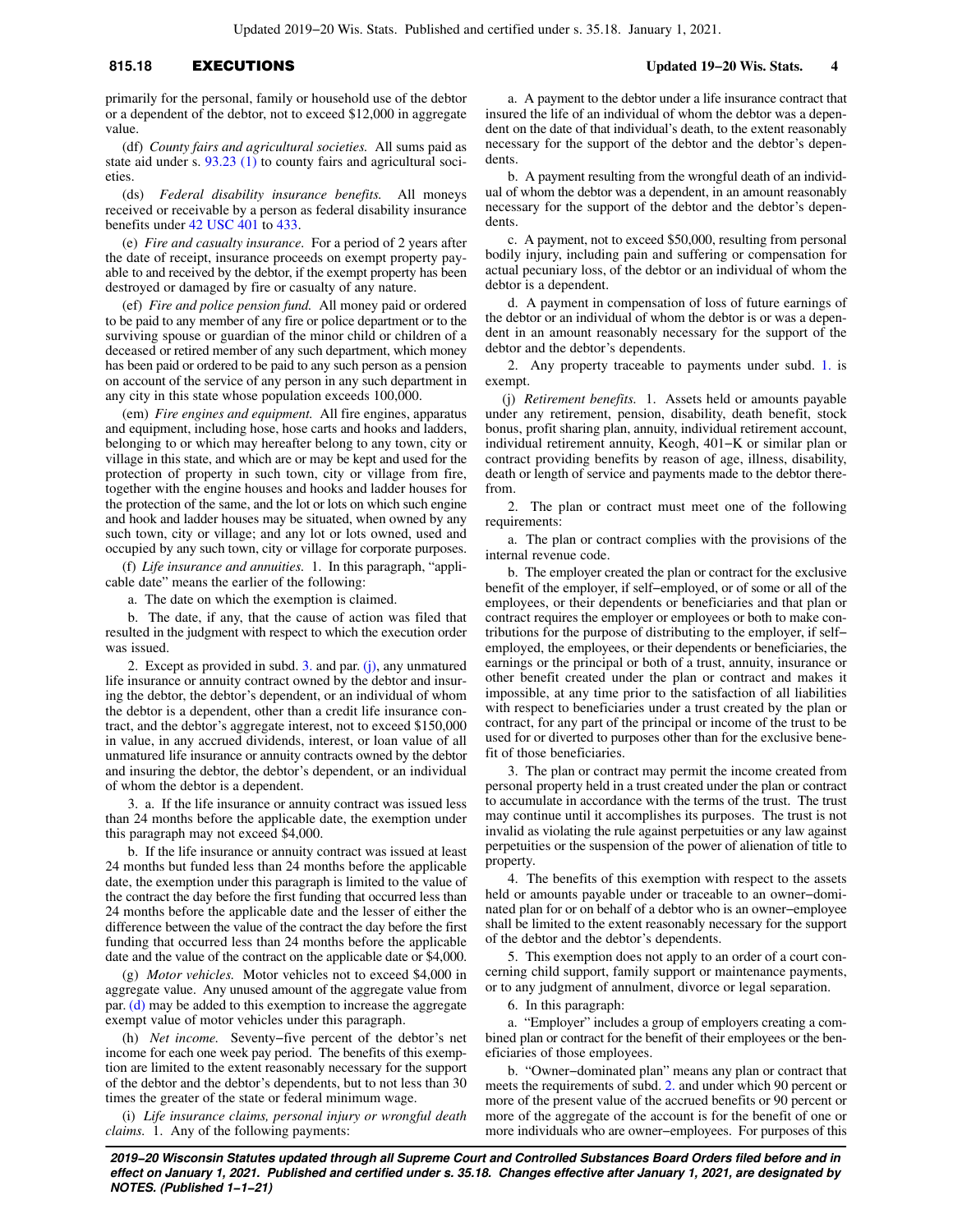### **815.18** EXECUTIONS **Updated 19−20 Wis. Stats. 4**

primarily for the personal, family or household use of the debtor or a dependent of the debtor, not to exceed \$12,000 in aggregate value.

(df) *County fairs and agricultural societies.* All sums paid as state aid under s. [93.23 \(1\)](https://docs-preview.legis.wisconsin.gov/document/statutes/93.23(1)) to county fairs and agricultural societies.

(ds) *Federal disability insurance benefits.* All moneys received or receivable by a person as federal disability insurance benefits under [42 USC 401](https://docs-preview.legis.wisconsin.gov/document/usc/42%20USC%20401) to [433](https://docs-preview.legis.wisconsin.gov/document/usc/42%20USC%20433).

(e) *Fire and casualty insurance.* For a period of 2 years after the date of receipt, insurance proceeds on exempt property payable to and received by the debtor, if the exempt property has been destroyed or damaged by fire or casualty of any nature.

(ef) *Fire and police pension fund.* All money paid or ordered to be paid to any member of any fire or police department or to the surviving spouse or guardian of the minor child or children of a deceased or retired member of any such department, which money has been paid or ordered to be paid to any such person as a pension on account of the service of any person in any such department in any city in this state whose population exceeds 100,000.

(em) *Fire engines and equipment.* All fire engines, apparatus and equipment, including hose, hose carts and hooks and ladders, belonging to or which may hereafter belong to any town, city or village in this state, and which are or may be kept and used for the protection of property in such town, city or village from fire, together with the engine houses and hooks and ladder houses for the protection of the same, and the lot or lots on which such engine and hook and ladder houses may be situated, when owned by any such town, city or village; and any lot or lots owned, used and occupied by any such town, city or village for corporate purposes.

(f) *Life insurance and annuities.* 1. In this paragraph, "applicable date" means the earlier of the following:

a. The date on which the exemption is claimed.

b. The date, if any, that the cause of action was filed that resulted in the judgment with respect to which the execution order was issued.

2. Except as provided in subd.  $3$ . and par. [\(j\),](https://docs-preview.legis.wisconsin.gov/document/statutes/815.18(3)(j)) any unmatured life insurance or annuity contract owned by the debtor and insuring the debtor, the debtor's dependent, or an individual of whom the debtor is a dependent, other than a credit life insurance contract, and the debtor's aggregate interest, not to exceed \$150,000 in value, in any accrued dividends, interest, or loan value of all unmatured life insurance or annuity contracts owned by the debtor and insuring the debtor, the debtor's dependent, or an individual of whom the debtor is a dependent.

3. a. If the life insurance or annuity contract was issued less than 24 months before the applicable date, the exemption under this paragraph may not exceed \$4,000.

b. If the life insurance or annuity contract was issued at least 24 months but funded less than 24 months before the applicable date, the exemption under this paragraph is limited to the value of the contract the day before the first funding that occurred less than 24 months before the applicable date and the lesser of either the difference between the value of the contract the day before the first funding that occurred less than 24 months before the applicable date and the value of the contract on the applicable date or \$4,000.

(g) *Motor vehicles.* Motor vehicles not to exceed \$4,000 in aggregate value. Any unused amount of the aggregate value from par. [\(d\)](https://docs-preview.legis.wisconsin.gov/document/statutes/815.18(3)(d)) may be added to this exemption to increase the aggregate exempt value of motor vehicles under this paragraph.

(h) *Net income.* Seventy−five percent of the debtor's net income for each one week pay period. The benefits of this exemption are limited to the extent reasonably necessary for the support of the debtor and the debtor's dependents, but to not less than 30 times the greater of the state or federal minimum wage.

(i) *Life insurance claims, personal injury or wrongful death claims.* 1. Any of the following payments:

a. A payment to the debtor under a life insurance contract that insured the life of an individual of whom the debtor was a dependent on the date of that individual's death, to the extent reasonably necessary for the support of the debtor and the debtor's dependents.

b. A payment resulting from the wrongful death of an individual of whom the debtor was a dependent, in an amount reasonably necessary for the support of the debtor and the debtor's dependents.

c. A payment, not to exceed \$50,000, resulting from personal bodily injury, including pain and suffering or compensation for actual pecuniary loss, of the debtor or an individual of whom the debtor is a dependent.

d. A payment in compensation of loss of future earnings of the debtor or an individual of whom the debtor is or was a dependent in an amount reasonably necessary for the support of the debtor and the debtor's dependents.

2. Any property traceable to payments under subd. [1.](https://docs-preview.legis.wisconsin.gov/document/statutes/815.18(3)(i)1.) is exempt.

(j) *Retirement benefits.* 1. Assets held or amounts payable under any retirement, pension, disability, death benefit, stock bonus, profit sharing plan, annuity, individual retirement account, individual retirement annuity, Keogh, 401−K or similar plan or contract providing benefits by reason of age, illness, disability, death or length of service and payments made to the debtor therefrom.

2. The plan or contract must meet one of the following requirements:

a. The plan or contract complies with the provisions of the internal revenue code.

b. The employer created the plan or contract for the exclusive benefit of the employer, if self−employed, or of some or all of the employees, or their dependents or beneficiaries and that plan or contract requires the employer or employees or both to make contributions for the purpose of distributing to the employer, if self− employed, the employees, or their dependents or beneficiaries, the earnings or the principal or both of a trust, annuity, insurance or other benefit created under the plan or contract and makes it impossible, at any time prior to the satisfaction of all liabilities with respect to beneficiaries under a trust created by the plan or contract, for any part of the principal or income of the trust to be used for or diverted to purposes other than for the exclusive benefit of those beneficiaries.

3. The plan or contract may permit the income created from personal property held in a trust created under the plan or contract to accumulate in accordance with the terms of the trust. The trust may continue until it accomplishes its purposes. The trust is not invalid as violating the rule against perpetuities or any law against perpetuities or the suspension of the power of alienation of title to property.

4. The benefits of this exemption with respect to the assets held or amounts payable under or traceable to an owner−dominated plan for or on behalf of a debtor who is an owner−employee shall be limited to the extent reasonably necessary for the support of the debtor and the debtor's dependents.

5. This exemption does not apply to an order of a court concerning child support, family support or maintenance payments, or to any judgment of annulment, divorce or legal separation.

6. In this paragraph:

a. "Employer" includes a group of employers creating a combined plan or contract for the benefit of their employees or the beneficiaries of those employees.

b. "Owner−dominated plan" means any plan or contract that meets the requirements of subd. [2.](https://docs-preview.legis.wisconsin.gov/document/statutes/815.18(3)(j)2.) and under which 90 percent or more of the present value of the accrued benefits or 90 percent or more of the aggregate of the account is for the benefit of one or more individuals who are owner−employees. For purposes of this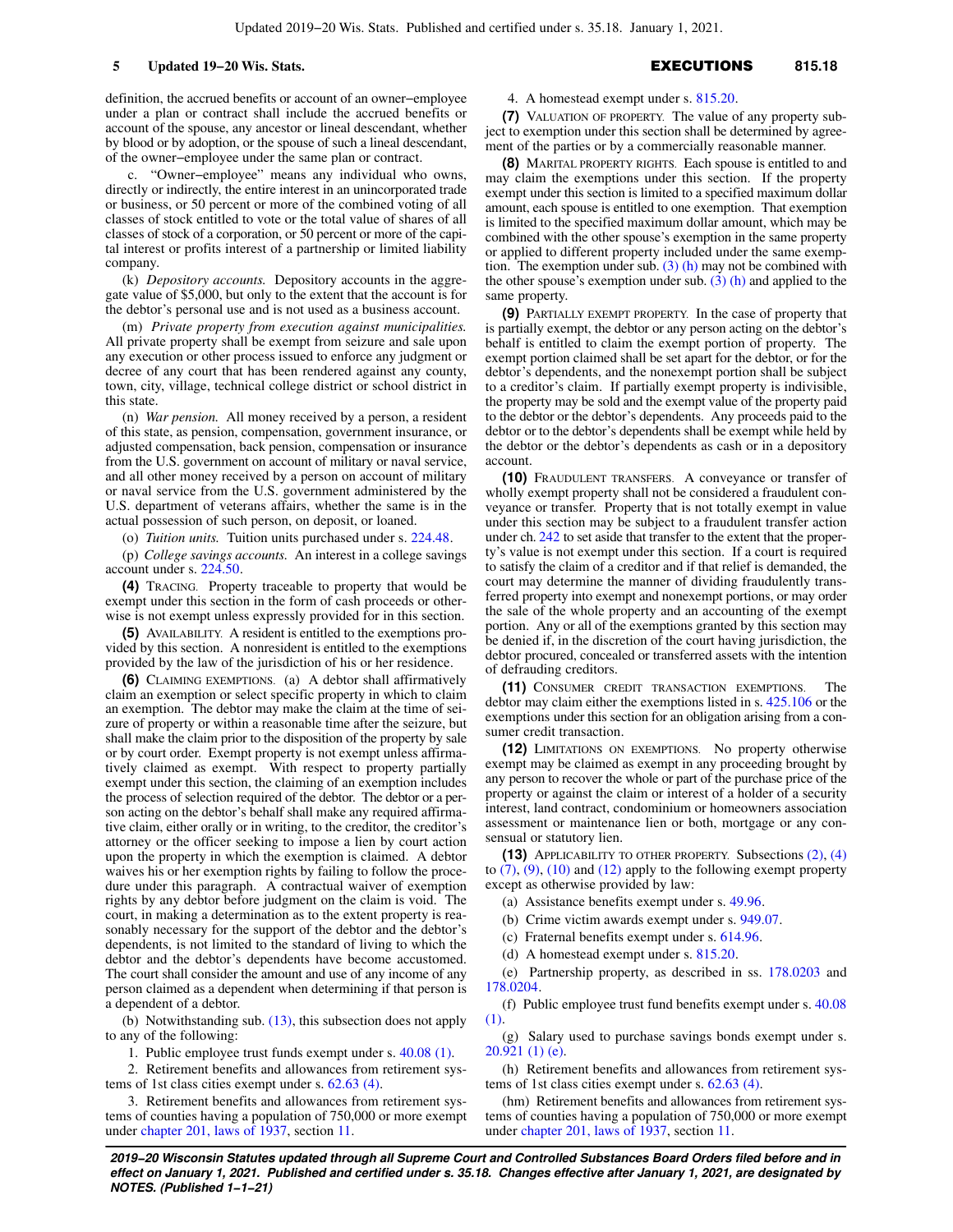definition, the accrued benefits or account of an owner−employee under a plan or contract shall include the accrued benefits or account of the spouse, any ancestor or lineal descendant, whether by blood or by adoption, or the spouse of such a lineal descendant, of the owner−employee under the same plan or contract.

c. "Owner−employee" means any individual who owns, directly or indirectly, the entire interest in an unincorporated trade or business, or 50 percent or more of the combined voting of all classes of stock entitled to vote or the total value of shares of all classes of stock of a corporation, or 50 percent or more of the capital interest or profits interest of a partnership or limited liability company.

(k) *Depository accounts.* Depository accounts in the aggregate value of \$5,000, but only to the extent that the account is for the debtor's personal use and is not used as a business account.

(m) *Private property from execution against municipalities.* All private property shall be exempt from seizure and sale upon any execution or other process issued to enforce any judgment or decree of any court that has been rendered against any county, town, city, village, technical college district or school district in this state.

(n) *War pension.* All money received by a person, a resident of this state, as pension, compensation, government insurance, or adjusted compensation, back pension, compensation or insurance from the U.S. government on account of military or naval service, and all other money received by a person on account of military or naval service from the U.S. government administered by the U.S. department of veterans affairs, whether the same is in the actual possession of such person, on deposit, or loaned.

(o) *Tuition units.* Tuition units purchased under s. [224.48](https://docs-preview.legis.wisconsin.gov/document/statutes/224.48).

(p) *College savings accounts.* An interest in a college savings account under s. [224.50](https://docs-preview.legis.wisconsin.gov/document/statutes/224.50).

**(4)** TRACING. Property traceable to property that would be exempt under this section in the form of cash proceeds or otherwise is not exempt unless expressly provided for in this section.

**(5)** AVAILABILITY. A resident is entitled to the exemptions provided by this section. A nonresident is entitled to the exemptions provided by the law of the jurisdiction of his or her residence.

**(6)** CLAIMING EXEMPTIONS. (a) A debtor shall affirmatively claim an exemption or select specific property in which to claim an exemption. The debtor may make the claim at the time of seizure of property or within a reasonable time after the seizure, but shall make the claim prior to the disposition of the property by sale or by court order. Exempt property is not exempt unless affirmatively claimed as exempt. With respect to property partially exempt under this section, the claiming of an exemption includes the process of selection required of the debtor. The debtor or a person acting on the debtor's behalf shall make any required affirmative claim, either orally or in writing, to the creditor, the creditor's attorney or the officer seeking to impose a lien by court action upon the property in which the exemption is claimed. A debtor waives his or her exemption rights by failing to follow the procedure under this paragraph. A contractual waiver of exemption rights by any debtor before judgment on the claim is void. The court, in making a determination as to the extent property is reasonably necessary for the support of the debtor and the debtor's dependents, is not limited to the standard of living to which the debtor and the debtor's dependents have become accustomed. The court shall consider the amount and use of any income of any person claimed as a dependent when determining if that person is a dependent of a debtor.

(b) Notwithstanding sub. [\(13\),](https://docs-preview.legis.wisconsin.gov/document/statutes/815.18(13)) this subsection does not apply to any of the following:

1. Public employee trust funds exempt under s. [40.08 \(1\)](https://docs-preview.legis.wisconsin.gov/document/statutes/40.08(1)).

2. Retirement benefits and allowances from retirement systems of 1st class cities exempt under s. [62.63 \(4\).](https://docs-preview.legis.wisconsin.gov/document/statutes/62.63(4))

3. Retirement benefits and allowances from retirement systems of counties having a population of 750,000 or more exempt under [chapter 201, laws of 1937](https://docs-preview.legis.wisconsin.gov/document/acts/1937/201), section [11.](https://docs-preview.legis.wisconsin.gov/document/acts/1937/201,%20s.%2011)

#### 4. A homestead exempt under s. [815.20](https://docs-preview.legis.wisconsin.gov/document/statutes/815.20).

**(7)** VALUATION OF PROPERTY. The value of any property subject to exemption under this section shall be determined by agreement of the parties or by a commercially reasonable manner.

**(8)** MARITAL PROPERTY RIGHTS. Each spouse is entitled to and may claim the exemptions under this section. If the property exempt under this section is limited to a specified maximum dollar amount, each spouse is entitled to one exemption. That exemption is limited to the specified maximum dollar amount, which may be combined with the other spouse's exemption in the same property or applied to different property included under the same exemption. The exemption under sub.  $(3)$  (h) may not be combined with the other spouse's exemption under sub.  $(3)$  (h) and applied to the same property.

**(9)** PARTIALLY EXEMPT PROPERTY. In the case of property that is partially exempt, the debtor or any person acting on the debtor's behalf is entitled to claim the exempt portion of property. The exempt portion claimed shall be set apart for the debtor, or for the debtor's dependents, and the nonexempt portion shall be subject to a creditor's claim. If partially exempt property is indivisible, the property may be sold and the exempt value of the property paid to the debtor or the debtor's dependents. Any proceeds paid to the debtor or to the debtor's dependents shall be exempt while held by the debtor or the debtor's dependents as cash or in a depository account.

**(10)** FRAUDULENT TRANSFERS. A conveyance or transfer of wholly exempt property shall not be considered a fraudulent conveyance or transfer. Property that is not totally exempt in value under this section may be subject to a fraudulent transfer action under ch. [242](https://docs-preview.legis.wisconsin.gov/document/statutes/ch.%20242) to set aside that transfer to the extent that the property's value is not exempt under this section. If a court is required to satisfy the claim of a creditor and if that relief is demanded, the court may determine the manner of dividing fraudulently transferred property into exempt and nonexempt portions, or may order the sale of the whole property and an accounting of the exempt portion. Any or all of the exemptions granted by this section may be denied if, in the discretion of the court having jurisdiction, the debtor procured, concealed or transferred assets with the intention of defrauding creditors.

**(11)** CONSUMER CREDIT TRANSACTION EXEMPTIONS. The debtor may claim either the exemptions listed in s. [425.106](https://docs-preview.legis.wisconsin.gov/document/statutes/425.106) or the exemptions under this section for an obligation arising from a consumer credit transaction.

**(12)** LIMITATIONS ON EXEMPTIONS. No property otherwise exempt may be claimed as exempt in any proceeding brought by any person to recover the whole or part of the purchase price of the property or against the claim or interest of a holder of a security interest, land contract, condominium or homeowners association assessment or maintenance lien or both, mortgage or any consensual or statutory lien.

**(13)** APPLICABILITY TO OTHER PROPERTY. Subsections [\(2\)](https://docs-preview.legis.wisconsin.gov/document/statutes/815.18(2)), [\(4\)](https://docs-preview.legis.wisconsin.gov/document/statutes/815.18(4)) to  $(7)$ ,  $(9)$ ,  $(10)$  and  $(12)$  apply to the following exempt property except as otherwise provided by law:

(a) Assistance benefits exempt under s. [49.96](https://docs-preview.legis.wisconsin.gov/document/statutes/49.96).

(b) Crime victim awards exempt under s. [949.07.](https://docs-preview.legis.wisconsin.gov/document/statutes/949.07)

(c) Fraternal benefits exempt under s. [614.96.](https://docs-preview.legis.wisconsin.gov/document/statutes/614.96)

(d) A homestead exempt under s. [815.20](https://docs-preview.legis.wisconsin.gov/document/statutes/815.20).

(e) Partnership property, as described in ss. [178.0203](https://docs-preview.legis.wisconsin.gov/document/statutes/178.0203) and [178.0204.](https://docs-preview.legis.wisconsin.gov/document/statutes/178.0204)

(f) Public employee trust fund benefits exempt under s. [40.08](https://docs-preview.legis.wisconsin.gov/document/statutes/40.08(1)) [\(1\).](https://docs-preview.legis.wisconsin.gov/document/statutes/40.08(1))

(g) Salary used to purchase savings bonds exempt under s. [20.921 \(1\) \(e\)](https://docs-preview.legis.wisconsin.gov/document/statutes/20.921(1)(e)).

(h) Retirement benefits and allowances from retirement systems of 1st class cities exempt under s. [62.63 \(4\)](https://docs-preview.legis.wisconsin.gov/document/statutes/62.63(4)).

(hm) Retirement benefits and allowances from retirement systems of counties having a population of 750,000 or more exempt under [chapter 201, laws of 1937,](https://docs-preview.legis.wisconsin.gov/document/acts/1937/201) section [11.](https://docs-preview.legis.wisconsin.gov/document/acts/1937/201,%20s.%2011)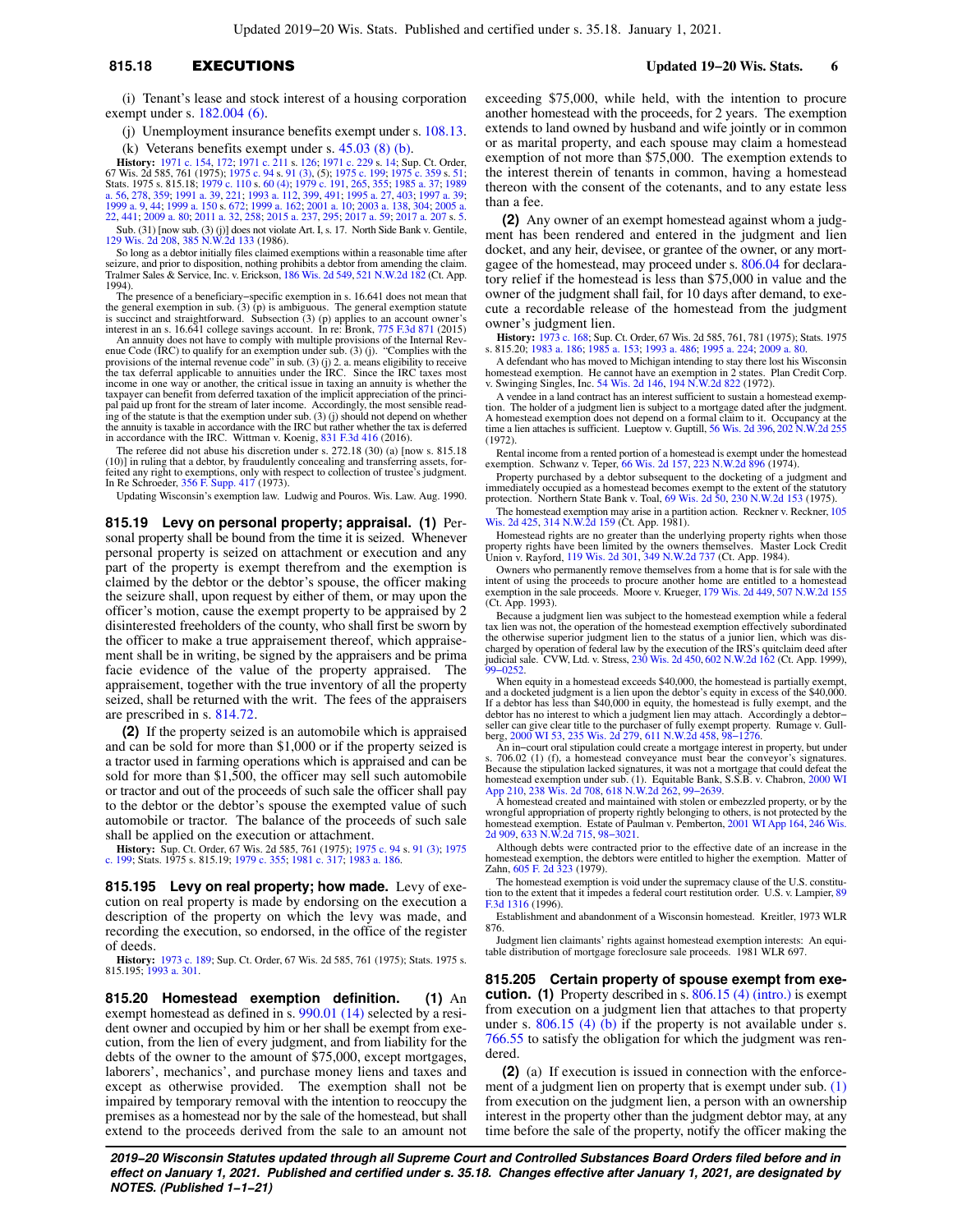#### **815.18** EXECUTIONS **Updated 19−20 Wis. Stats. 6**

(i) Tenant's lease and stock interest of a housing corporation exempt under s. [182.004 \(6\).](https://docs-preview.legis.wisconsin.gov/document/statutes/182.004(6))

(j) Unemployment insurance benefits exempt under s. [108.13.](https://docs-preview.legis.wisconsin.gov/document/statutes/108.13)

(k) Veterans benefits exempt under s.  $45.03(8)(b)$ .

**History:** [1971 c. 154,](https://docs-preview.legis.wisconsin.gov/document/acts/1971/154) [172;](https://docs-preview.legis.wisconsin.gov/document/acts/1971/172) [1971 c. 211](https://docs-preview.legis.wisconsin.gov/document/acts/1971/211) s. [126;](https://docs-preview.legis.wisconsin.gov/document/acts/1971/211,%20s.%20126) [1971 c. 229](https://docs-preview.legis.wisconsin.gov/document/acts/1971/229) s. [14](https://docs-preview.legis.wisconsin.gov/document/acts/1971/229,%20s.%2014); Sup. Ct. Order,<br>67 Wis. 2d 585, 761 (1975); [1975 c. 94](https://docs-preview.legis.wisconsin.gov/document/acts/1975/94) s. [91 \(3\)](https://docs-preview.legis.wisconsin.gov/document/acts/1975/94,%20s.%2091), (5); [1975 c. 199;](https://docs-preview.legis.wisconsin.gov/document/acts/1975/199) [1975 c. 359](https://docs-preview.legis.wisconsin.gov/document/acts/1975/359) s. [51](https://docs-preview.legis.wisconsin.gov/document/acts/1975/359,%20s.%2051);<br>Stats. 1975 s. 815.18; [1979 c. 110](https://docs-preview.legis.wisconsin.gov/document/acts/1979/110) s. [60 \(4\)](https://docs-preview.legis.wisconsin.gov/document/acts/1979/110,%20s.%2060); 1979 [1999 a. 9](https://docs-preview.legis.wisconsin.gov/document/acts/1999/9), [44;](https://docs-preview.legis.wisconsin.gov/document/acts/1999/44) [1999 a. 150](https://docs-preview.legis.wisconsin.gov/document/acts/1999/150) s. [672;](https://docs-preview.legis.wisconsin.gov/document/acts/1999/150,%20s.%20672) [1999 a. 162;](https://docs-preview.legis.wisconsin.gov/document/acts/1999/162) [2001 a. 10](https://docs-preview.legis.wisconsin.gov/document/acts/2001/10); [2003 a. 138](https://docs-preview.legis.wisconsin.gov/document/acts/2003/138), [304](https://docs-preview.legis.wisconsin.gov/document/acts/2003/304); [2005 a.](https://docs-preview.legis.wisconsin.gov/document/acts/2005/22) [22,](https://docs-preview.legis.wisconsin.gov/document/acts/2005/22) [441;](https://docs-preview.legis.wisconsin.gov/document/acts/2005/441) [2009 a. 80](https://docs-preview.legis.wisconsin.gov/document/acts/2009/80); [2011 a. 32,](https://docs-preview.legis.wisconsin.gov/document/acts/2011/32) [258;](https://docs-preview.legis.wisconsin.gov/document/acts/2011/258) [2015 a. 237](https://docs-preview.legis.wisconsin.gov/document/acts/2015/237), [295](https://docs-preview.legis.wisconsin.gov/document/acts/2015/295); [2017 a. 59;](https://docs-preview.legis.wisconsin.gov/document/acts/2017/59) [2017 a. 207](https://docs-preview.legis.wisconsin.gov/document/acts/2017/207) s. [5](https://docs-preview.legis.wisconsin.gov/document/acts/2017/207,%20s.%205).

Sub. (31) [now sub. (3) (j)] does not violate Art. I, s. 17. North Side Bank v. Gentile, [129 Wis. 2d 208,](https://docs-preview.legis.wisconsin.gov/document/courts/129%20Wis.%202d%20208) [385 N.W.2d 133](https://docs-preview.legis.wisconsin.gov/document/courts/385%20N.W.2d%20133) (1986).

So long as a debtor initially files claimed exemptions within a reasonable time after<br>seizure, and prior to disposition, nothing prohibits a debtor from amending the claim.<br>Tralmer Sales & Service, Inc. v. Erickson, 186 Wi 1994).

The presence of a beneficiary−specific exemption in s. 16.641 does not mean that the general exemption in sub. (3) (p) is ambiguous. The general exemption statute<br>is succinct and straightforward. Subsection (3) (p) applies to an account owner's<br>interest in an s. 16.641 college savings account. In re: B

An annuity does not have to comply with multiple provisions of the Internal Revenue Code (IRC) to qualify for an exemption under sub. (3) (j). "Complies with the provisions of the internal revenue code" in sub. (3) (j) 2. a. means eligibility to receive the tax deferral applicable to annuities under the IRC. Since the IRC taxes most income in one way or another, the critical issue in taxing an annuity is whether the taxpayer can benefit from deferred taxation of the implicit appreciation of the principal paid up front for the stream of later income. Accordingly, the most sensible read-<br>ing of the statute is that the exemption under sub. (3) (j) should not depend on whether<br>the annuity is taxable in accordance with the in accordance with the IRC. Wittman v. Koenig, [831 F.3d 416](https://docs-preview.legis.wisconsin.gov/document/courts/831%20F.3d%20416) (2016).

The referee did not abuse his discretion under s. 272.18 (30) (a) [now s. 815.18 (10)] in ruling that a debtor, by fraudulently concealing and transferring assets, for-feited any right to exemptions, only with respect to collection of trustee's judgment. In Re Schroeder, [356 F. Supp. 417](https://docs-preview.legis.wisconsin.gov/document/courts/356%20F.%20Supp.%20417) (1973).

Updating Wisconsin's exemption law. Ludwig and Pouros. Wis. Law. Aug. 1990.

**815.19 Levy on personal property; appraisal. (1)** Personal property shall be bound from the time it is seized. Whenever personal property is seized on attachment or execution and any part of the property is exempt therefrom and the exemption is claimed by the debtor or the debtor's spouse, the officer making the seizure shall, upon request by either of them, or may upon the officer's motion, cause the exempt property to be appraised by 2 disinterested freeholders of the county, who shall first be sworn by the officer to make a true appraisement thereof, which appraisement shall be in writing, be signed by the appraisers and be prima facie evidence of the value of the property appraised. The appraisement, together with the true inventory of all the property seized, shall be returned with the writ. The fees of the appraisers are prescribed in s. [814.72](https://docs-preview.legis.wisconsin.gov/document/statutes/814.72).

**(2)** If the property seized is an automobile which is appraised and can be sold for more than \$1,000 or if the property seized is a tractor used in farming operations which is appraised and can be sold for more than \$1,500, the officer may sell such automobile or tractor and out of the proceeds of such sale the officer shall pay to the debtor or the debtor's spouse the exempted value of such automobile or tractor. The balance of the proceeds of such sale shall be applied on the execution or attachment.

**History:** Sup. Ct. Order, 67 Wis. 2d 585, 761 (1975); [1975 c. 94](https://docs-preview.legis.wisconsin.gov/document/acts/1975/94) s. [91 \(3\)](https://docs-preview.legis.wisconsin.gov/document/acts/1975/94,%20s.%2091); [1975](https://docs-preview.legis.wisconsin.gov/document/acts/1975/199) [c. 199;](https://docs-preview.legis.wisconsin.gov/document/acts/1975/199) Stats. 1975 s. 815.19; [1979 c. 355;](https://docs-preview.legis.wisconsin.gov/document/acts/1979/355) [1981 c. 317](https://docs-preview.legis.wisconsin.gov/document/acts/1981/317); [1983 a. 186](https://docs-preview.legis.wisconsin.gov/document/acts/1983/186).

**815.195 Levy on real property; how made.** Levy of execution on real property is made by endorsing on the execution a description of the property on which the levy was made, and recording the execution, so endorsed, in the office of the register of deeds.

**History:** [1973 c. 189;](https://docs-preview.legis.wisconsin.gov/document/acts/1973/189) Sup. Ct. Order, 67 Wis. 2d 585, 761 (1975); Stats. 1975 s. 815.195; [1993 a. 301](https://docs-preview.legis.wisconsin.gov/document/acts/1993/301).

**815.20 Homestead exemption definition. (1)** An exempt homestead as defined in s. [990.01 \(14\)](https://docs-preview.legis.wisconsin.gov/document/statutes/990.01(14)) selected by a resident owner and occupied by him or her shall be exempt from execution, from the lien of every judgment, and from liability for the debts of the owner to the amount of \$75,000, except mortgages, laborers', mechanics', and purchase money liens and taxes and except as otherwise provided. The exemption shall not be impaired by temporary removal with the intention to reoccupy the premises as a homestead nor by the sale of the homestead, but shall extend to the proceeds derived from the sale to an amount not exceeding \$75,000, while held, with the intention to procure another homestead with the proceeds, for 2 years. The exemption extends to land owned by husband and wife jointly or in common or as marital property, and each spouse may claim a homestead exemption of not more than \$75,000. The exemption extends to the interest therein of tenants in common, having a homestead thereon with the consent of the cotenants, and to any estate less than a fee.

**(2)** Any owner of an exempt homestead against whom a judgment has been rendered and entered in the judgment and lien docket, and any heir, devisee, or grantee of the owner, or any mort-gagee of the homestead, may proceed under s. [806.04](https://docs-preview.legis.wisconsin.gov/document/statutes/806.04) for declaratory relief if the homestead is less than \$75,000 in value and the owner of the judgment shall fail, for 10 days after demand, to execute a recordable release of the homestead from the judgment owner's judgment lien.

**History:** [1973 c. 168](https://docs-preview.legis.wisconsin.gov/document/acts/1973/168); Sup. Ct. Order, 67 Wis. 2d 585, 761, 781 (1975); Stats. 1975 s. 815.20; [1983 a. 186](https://docs-preview.legis.wisconsin.gov/document/acts/1983/186); [1985 a. 153;](https://docs-preview.legis.wisconsin.gov/document/acts/1985/153) [1993 a. 486;](https://docs-preview.legis.wisconsin.gov/document/acts/1993/486) [1995 a. 224](https://docs-preview.legis.wisconsin.gov/document/acts/1995/224); [2009 a. 80](https://docs-preview.legis.wisconsin.gov/document/acts/2009/80).

A defendant who has moved to Michigan intending to stay there lost his Wisconsin homestead exemption. He cannot have an exemption in 2 states. Plan Credit Corp.<br>v. Swinging Singles, Inc. [54 Wis. 2d 146](https://docs-preview.legis.wisconsin.gov/document/courts/54%20Wis.%202d%20146), [194 N.W.2d 822](https://docs-preview.legis.wisconsin.gov/document/courts/194%20N.W.2d%20822) (1972).

A vendee in a land contract has an interest sufficient to sustain a homestead exemp-tion. The holder of a judgment lien is subject to a mortgage dated after the judgment. A homestead exemption does not depend on a formal claim to it. Occupancy at the time a lien attaches is sufficient. Lueptow v. Guptill, [56 Wis. 2d 396,](https://docs-preview.legis.wisconsin.gov/document/courts/56%20Wis.%202d%20396) [202 N.W.2d 255](https://docs-preview.legis.wisconsin.gov/document/courts/202%20N.W.2d%20255)  $(1972)$ .

Rental income from a rented portion of a homestead is exempt under the homestead exemption. Schwanz v. Teper, [66 Wis. 2d 157](https://docs-preview.legis.wisconsin.gov/document/courts/66%20Wis.%202d%20157), [223 N.W.2d 896](https://docs-preview.legis.wisconsin.gov/document/courts/223%20N.W.2d%20896) (1974).

Property purchased by a debtor subsequent to the docketing of a judgment and immediately occupied as a homestead becomes exempt to the extent of the statutory protection. Northern State Bank v. Toal, [69 Wis. 2d 50](https://docs-preview.legis.wisconsin.gov/document/courts/69%20Wis.%202d%2050), [230 N.W.2d 153](https://docs-preview.legis.wisconsin.gov/document/courts/230%20N.W.2d%20153) (1975).

The homestead exemption may arise in a partition action. Reckner v. Reckner, [105](https://docs-preview.legis.wisconsin.gov/document/courts/105%20Wis.%202d%20425) [Wis. 2d 425,](https://docs-preview.legis.wisconsin.gov/document/courts/105%20Wis.%202d%20425) [314 N.W.2d 159](https://docs-preview.legis.wisconsin.gov/document/courts/314%20N.W.2d%20159) (Ct. App. 1981).

Homestead rights are no greater than the underlying property rights when those property rights have been limited by the owners themselves. Master Lock Credit Union v. Rayford, [119 Wis. 2d 301](https://docs-preview.legis.wisconsin.gov/document/courts/119%20Wis.%202d%20301), [349 N.W.2d 737](https://docs-preview.legis.wisconsin.gov/document/courts/349%20N.W.2d%20737) (Ct. App. 1984).

Owners who permanently remove themselves from a home that is for sale with the intent of using the proceeds to procure another home are entitled to a homestead exemption in the sale proceeds. Moore v. Krueger, [179 Wis. 2d 449](https://docs-preview.legis.wisconsin.gov/document/courts/179%20Wis.%202d%20449), [507 N.W.2d 155](https://docs-preview.legis.wisconsin.gov/document/courts/507%20N.W.2d%20155) (Ct. App. 1993).

Because a judgment lien was subject to the homestead exemption while a federal tax lien was not, the operation of the homestead exemption effectively subordinated the otherwise superior judgment lien to the status of a junior lien, which was dis-<br>charged by operation of federal law by the execution of the IRS's quitclaim deed after<br>judicial sale. CVW, Ltd. v. Stress, [230 Wis. 2d 450](https://docs-preview.legis.wisconsin.gov/document/courts/230%20Wis.%202d%20450) [99−0252.](https://docs-preview.legis.wisconsin.gov/document/wicourtofappeals/99-0252)

When equity in a homestead exceeds \$40,000, the homestead is partially exempt, and a docketed judgment is a lien upon the debtor's equity in excess of the \$40,000. If a debtor has less than \$40,000 in equity, the homestead is fully exempt, and the debtor has no interest to which a judgment lien may attach. Accordingly a debtor− seller can give clear title to the purchaser of fully exempt property. Rumage v. Gull-berg, [2000 WI 53](https://docs-preview.legis.wisconsin.gov/document/courts/2000%20WI%2053), [235 Wis. 2d 279,](https://docs-preview.legis.wisconsin.gov/document/courts/235%20Wis.%202d%20279) [611 N.W.2d 458](https://docs-preview.legis.wisconsin.gov/document/courts/611%20N.W.2d%20458), [98−1276](https://docs-preview.legis.wisconsin.gov/document/wisupremecourt/98-1276).

An in−court oral stipulation could create a mortgage interest in property, but under s. 706.02 (1) (f), a homestead conveyance must bear the conveyor's signatures. Because the stipulation lacked signatures, it was not a mortgage that could defeat the homestead exemption under sub. (1). Equitable Bank, S.S.B. v. Chabron, [2000 WI](https://docs-preview.legis.wisconsin.gov/document/courts/2000%20WI%20App%20210)<br>[App 210](https://docs-preview.legis.wisconsin.gov/document/courts/2000%20WI%20App%20210), [238 Wis. 2d 708,](https://docs-preview.legis.wisconsin.gov/document/courts/238%20Wis.%202d%20708) [618 N.W.2d 262,](https://docs-preview.legis.wisconsin.gov/document/courts/618%20N.W.2d%20262) [99−2639.](https://docs-preview.legis.wisconsin.gov/document/wicourtofappeals/99-2639)<br>A homestead created and maintained with stolen or embezzled property, or by the

wrongful appropriation of property rightly belonging to others, is not protected by the<br>homestead exemption. Estate of Paulman v. Pemberton, [2001 WI App 164,](https://docs-preview.legis.wisconsin.gov/document/courts/2001%20WI%20App%20164) [246 Wis.](https://docs-preview.legis.wisconsin.gov/document/courts/246%20Wis.%202d%20909)<br>[2d 909](https://docs-preview.legis.wisconsin.gov/document/courts/246%20Wis.%202d%20909), [633 N.W.2d 715,](https://docs-preview.legis.wisconsin.gov/document/courts/633%20N.W.2d%20715) [98−3021](https://docs-preview.legis.wisconsin.gov/document/wicourtofappeals/98-3021).

Although debts were contracted prior to the effective date of an increase in the homestead exemption, the debtors were entitled to higher the exemption. Matter of Zahn, [605 F. 2d 323](https://docs-preview.legis.wisconsin.gov/document/courts/605%20F.%202d%20323) (1979).

The homestead exemption is void under the supremacy clause of the U.S. constitution to the extent that it impedes a federal court restitution order. U.S. v. Lampier, [89](https://docs-preview.legis.wisconsin.gov/document/courts/89%20F.3d%201316) [F.3d 1316](https://docs-preview.legis.wisconsin.gov/document/courts/89%20F.3d%201316) (1996).

Establishment and abandonment of a Wisconsin homestead. Kreitler, 1973 WLR 876.

Judgment lien claimants' rights against homestead exemption interests: An equitable distribution of mortgage foreclosure sale proceeds. 1981 WLR 697.

**815.205 Certain property of spouse exempt from execution.** (1) Property described in s. [806.15 \(4\) \(intro.\)](https://docs-preview.legis.wisconsin.gov/document/statutes/806.15(4)(intro.)) is exempt from execution on a judgment lien that attaches to that property under s. [806.15 \(4\) \(b\)](https://docs-preview.legis.wisconsin.gov/document/statutes/806.15(4)(b)) if the property is not available under s. [766.55](https://docs-preview.legis.wisconsin.gov/document/statutes/766.55) to satisfy the obligation for which the judgment was rendered.

**(2)** (a) If execution is issued in connection with the enforcement of a judgment lien on property that is exempt under sub. [\(1\)](https://docs-preview.legis.wisconsin.gov/document/statutes/815.205(1)) from execution on the judgment lien, a person with an ownership interest in the property other than the judgment debtor may, at any time before the sale of the property, notify the officer making the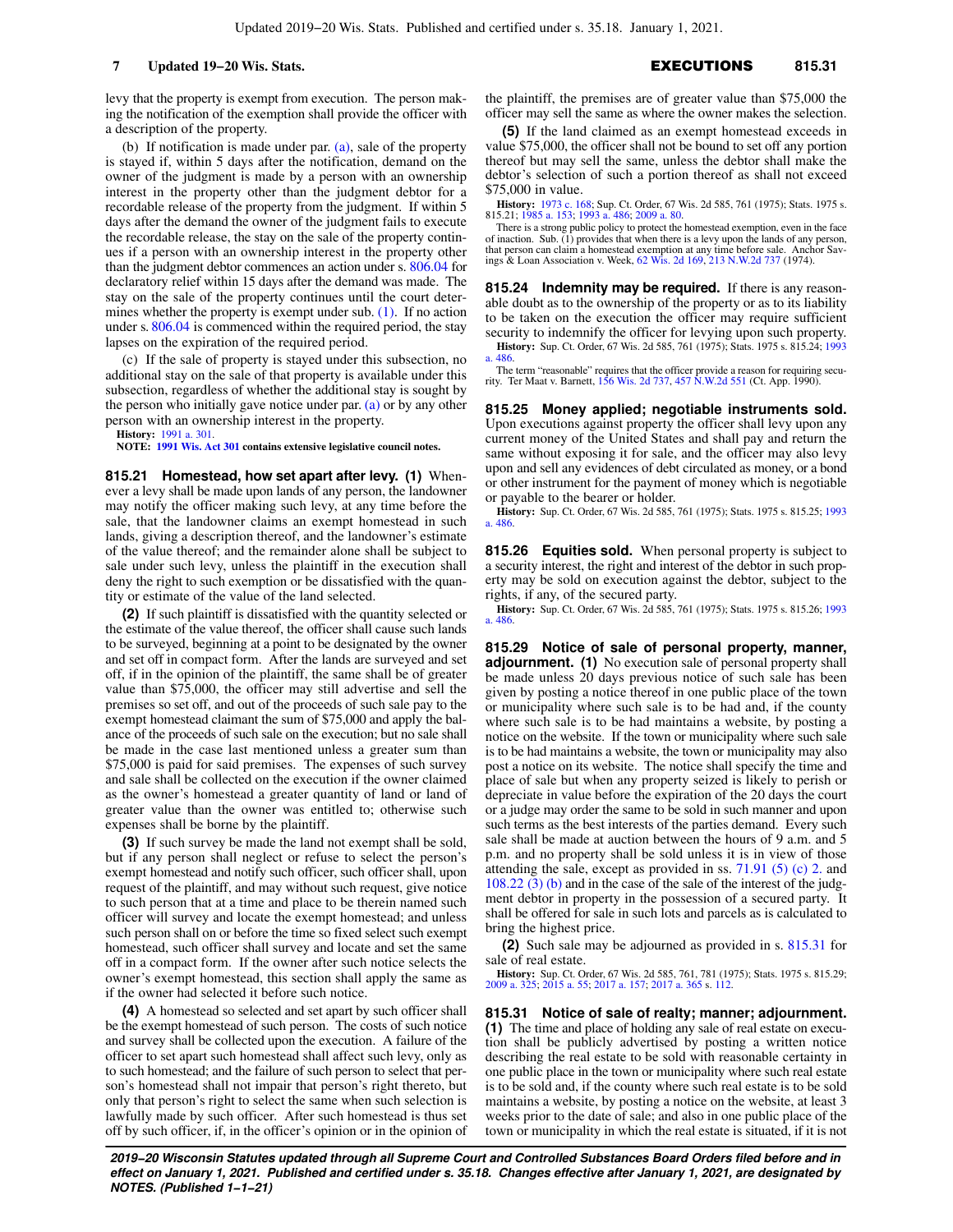levy that the property is exempt from execution. The person making the notification of the exemption shall provide the officer with a description of the property.

(b) If notification is made under par. [\(a\)](https://docs-preview.legis.wisconsin.gov/document/statutes/815.205(2)(a)), sale of the property is stayed if, within 5 days after the notification, demand on the owner of the judgment is made by a person with an ownership interest in the property other than the judgment debtor for a recordable release of the property from the judgment. If within 5 days after the demand the owner of the judgment fails to execute the recordable release, the stay on the sale of the property continues if a person with an ownership interest in the property other than the judgment debtor commences an action under s. [806.04](https://docs-preview.legis.wisconsin.gov/document/statutes/806.04) for declaratory relief within 15 days after the demand was made. The stay on the sale of the property continues until the court deter-mines whether the property is exempt under sub. [\(1\)](https://docs-preview.legis.wisconsin.gov/document/statutes/815.205(1)). If no action under s. [806.04](https://docs-preview.legis.wisconsin.gov/document/statutes/806.04) is commenced within the required period, the stay lapses on the expiration of the required period.

(c) If the sale of property is stayed under this subsection, no additional stay on the sale of that property is available under this subsection, regardless of whether the additional stay is sought by the person who initially gave notice under par.  $(a)$  or by any other person with an ownership interest in the property.

**History:** [1991 a. 301](https://docs-preview.legis.wisconsin.gov/document/acts/1991/301).

**NOTE: [1991 Wis. Act 301](https://docs-preview.legis.wisconsin.gov/document/acts/1991/301) contains extensive legislative council notes.**

**815.21 Homestead, how set apart after levy. (1)** Whenever a levy shall be made upon lands of any person, the landowner may notify the officer making such levy, at any time before the sale, that the landowner claims an exempt homestead in such lands, giving a description thereof, and the landowner's estimate of the value thereof; and the remainder alone shall be subject to sale under such levy, unless the plaintiff in the execution shall deny the right to such exemption or be dissatisfied with the quantity or estimate of the value of the land selected.

**(2)** If such plaintiff is dissatisfied with the quantity selected or the estimate of the value thereof, the officer shall cause such lands to be surveyed, beginning at a point to be designated by the owner and set off in compact form. After the lands are surveyed and set off, if in the opinion of the plaintiff, the same shall be of greater value than \$75,000, the officer may still advertise and sell the premises so set off, and out of the proceeds of such sale pay to the exempt homestead claimant the sum of \$75,000 and apply the balance of the proceeds of such sale on the execution; but no sale shall be made in the case last mentioned unless a greater sum than \$75,000 is paid for said premises. The expenses of such survey and sale shall be collected on the execution if the owner claimed as the owner's homestead a greater quantity of land or land of greater value than the owner was entitled to; otherwise such expenses shall be borne by the plaintiff.

**(3)** If such survey be made the land not exempt shall be sold, but if any person shall neglect or refuse to select the person's exempt homestead and notify such officer, such officer shall, upon request of the plaintiff, and may without such request, give notice to such person that at a time and place to be therein named such officer will survey and locate the exempt homestead; and unless such person shall on or before the time so fixed select such exempt homestead, such officer shall survey and locate and set the same off in a compact form. If the owner after such notice selects the owner's exempt homestead, this section shall apply the same as if the owner had selected it before such notice.

**(4)** A homestead so selected and set apart by such officer shall be the exempt homestead of such person. The costs of such notice and survey shall be collected upon the execution. A failure of the officer to set apart such homestead shall affect such levy, only as to such homestead; and the failure of such person to select that person's homestead shall not impair that person's right thereto, but only that person's right to select the same when such selection is lawfully made by such officer. After such homestead is thus set off by such officer, if, in the officer's opinion or in the opinion of the plaintiff, the premises are of greater value than \$75,000 the officer may sell the same as where the owner makes the selection.

**(5)** If the land claimed as an exempt homestead exceeds in value \$75,000, the officer shall not be bound to set off any portion thereof but may sell the same, unless the debtor shall make the debtor's selection of such a portion thereof as shall not exceed \$75,000 in value.

**History:** [1973 c. 168](https://docs-preview.legis.wisconsin.gov/document/acts/1973/168); Sup. Ct. Order, 67 Wis. 2d 585, 761 (1975); Stats. 1975 s. 815.21; [1985 a. 153;](https://docs-preview.legis.wisconsin.gov/document/acts/1985/153) [1993 a. 486;](https://docs-preview.legis.wisconsin.gov/document/acts/1993/486) [2009 a. 80.](https://docs-preview.legis.wisconsin.gov/document/acts/2009/80)

There is a strong public policy to protect the homestead exemption, even in the face of inaction. Sub. (1) provides that when there is a levy upon the lands of any person,<br>that person can claim a homestead exemption at any time before sale. Anchor Sav-<br>ings & Loan Association v. Week, [62 Wis. 2d 169](https://docs-preview.legis.wisconsin.gov/document/courts/62%20Wis.%202d%20169), 213 N

**815.24 Indemnity may be required.** If there is any reasonable doubt as to the ownership of the property or as to its liability to be taken on the execution the officer may require sufficient security to indemnify the officer for levying upon such property.

**History:** Sup. Ct. Order, 67 Wis. 2d 585, 761 (1975); Stats. 1975 s. 815.24; [1993](https://docs-preview.legis.wisconsin.gov/document/acts/1993/486) [a. 486](https://docs-preview.legis.wisconsin.gov/document/acts/1993/486).

The term "reasonable" requires that the officer provide a reason for requiring secu-rity. Ter Maat v. Barnett, [156 Wis. 2d 737](https://docs-preview.legis.wisconsin.gov/document/courts/156%20Wis.%202d%20737), [457 N.W.2d 551](https://docs-preview.legis.wisconsin.gov/document/courts/457%20N.W.2d%20551) (Ct. App. 1990).

**815.25 Money applied; negotiable instruments sold.** Upon executions against property the officer shall levy upon any current money of the United States and shall pay and return the same without exposing it for sale, and the officer may also levy upon and sell any evidences of debt circulated as money, or a bond or other instrument for the payment of money which is negotiable or payable to the bearer or holder.

**History:** Sup. Ct. Order, 67 Wis. 2d 585, 761 (1975); Stats. 1975 s. 815.25; [1993](https://docs-preview.legis.wisconsin.gov/document/acts/1993/486) [a. 486](https://docs-preview.legis.wisconsin.gov/document/acts/1993/486).

**815.26 Equities sold.** When personal property is subject to a security interest, the right and interest of the debtor in such property may be sold on execution against the debtor, subject to the rights, if any, of the secured party.

**History:** Sup. Ct. Order, 67 Wis. 2d 585, 761 (1975); Stats. 1975 s. 815.26; [1993](https://docs-preview.legis.wisconsin.gov/document/acts/1993/486) [a. 486](https://docs-preview.legis.wisconsin.gov/document/acts/1993/486).

**815.29 Notice of sale of personal property, manner, adjournment.** (1) No execution sale of personal property shall be made unless 20 days previous notice of such sale has been given by posting a notice thereof in one public place of the town or municipality where such sale is to be had and, if the county where such sale is to be had maintains a website, by posting a notice on the website. If the town or municipality where such sale is to be had maintains a website, the town or municipality may also post a notice on its website. The notice shall specify the time and place of sale but when any property seized is likely to perish or depreciate in value before the expiration of the 20 days the court or a judge may order the same to be sold in such manner and upon such terms as the best interests of the parties demand. Every such sale shall be made at auction between the hours of 9 a.m. and 5 p.m. and no property shall be sold unless it is in view of those attending the sale, except as provided in ss. [71.91 \(5\) \(c\) 2.](https://docs-preview.legis.wisconsin.gov/document/statutes/71.91(5)(c)2.) and [108.22 \(3\) \(b\)](https://docs-preview.legis.wisconsin.gov/document/statutes/108.22(3)(b)) and in the case of the sale of the interest of the judgment debtor in property in the possession of a secured party. It shall be offered for sale in such lots and parcels as is calculated to bring the highest price.

**(2)** Such sale may be adjourned as provided in s. [815.31](https://docs-preview.legis.wisconsin.gov/document/statutes/815.31) for sale of real estate.

**History:** Sup. Ct. Order, 67 Wis. 2d 585, 761, 781 (1975); Stats. 1975 s. 815.29; [2009 a. 325;](https://docs-preview.legis.wisconsin.gov/document/acts/2009/325) [2015 a. 55](https://docs-preview.legis.wisconsin.gov/document/acts/2015/55); [2017 a. 157;](https://docs-preview.legis.wisconsin.gov/document/acts/2017/157) [2017 a. 365](https://docs-preview.legis.wisconsin.gov/document/acts/2017/365) s. [112.](https://docs-preview.legis.wisconsin.gov/document/acts/2017/365,%20s.%20112)

**815.31 Notice of sale of realty; manner; adjournment. (1)** The time and place of holding any sale of real estate on execution shall be publicly advertised by posting a written notice describing the real estate to be sold with reasonable certainty in one public place in the town or municipality where such real estate is to be sold and, if the county where such real estate is to be sold maintains a website, by posting a notice on the website, at least 3 weeks prior to the date of sale; and also in one public place of the town or municipality in which the real estate is situated, if it is not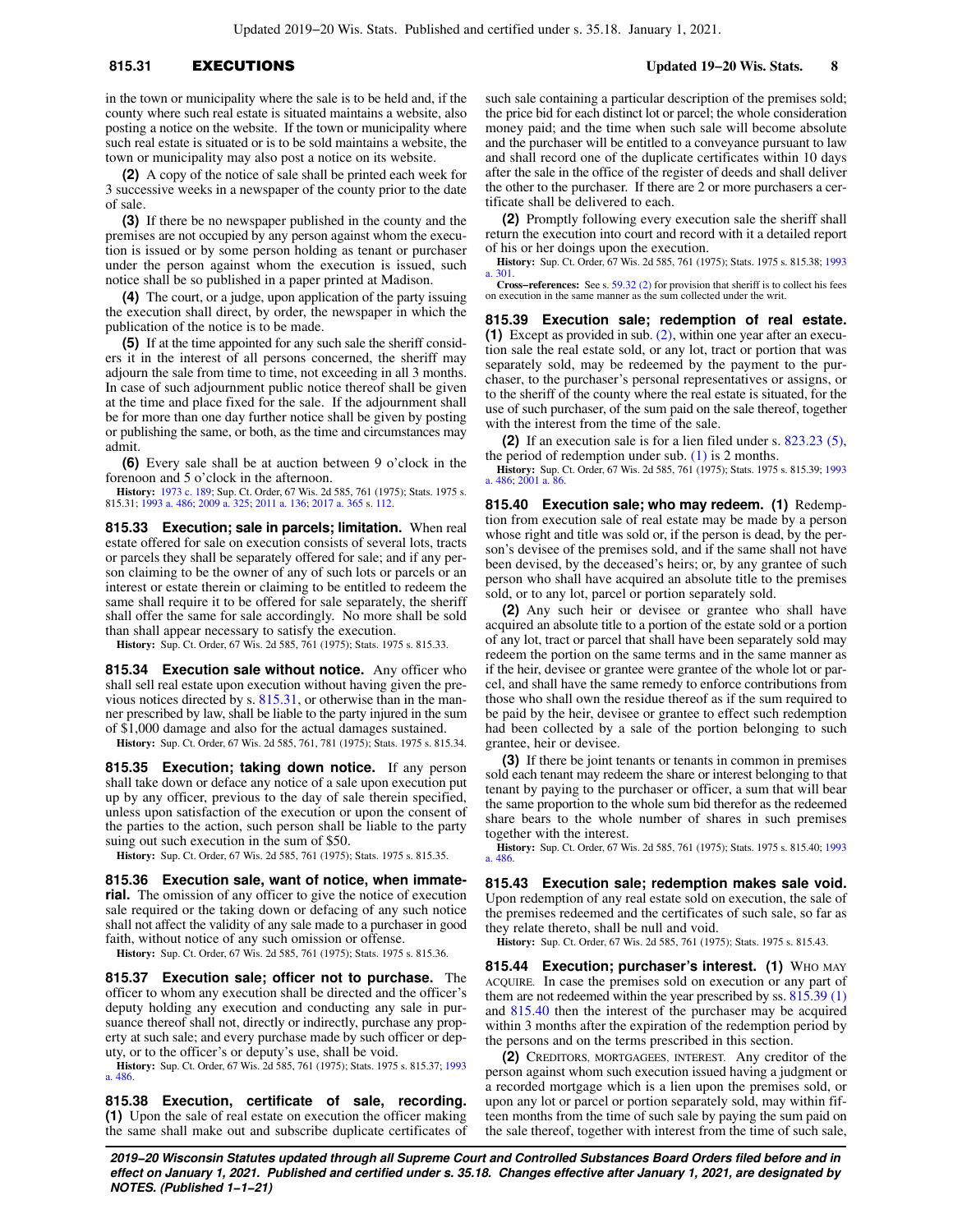### **815.31** EXECUTIONS **Updated 19−20 Wis. Stats. 8**

in the town or municipality where the sale is to be held and, if the county where such real estate is situated maintains a website, also posting a notice on the website. If the town or municipality where such real estate is situated or is to be sold maintains a website, the town or municipality may also post a notice on its website.

**(2)** A copy of the notice of sale shall be printed each week for 3 successive weeks in a newspaper of the county prior to the date of sale.

**(3)** If there be no newspaper published in the county and the premises are not occupied by any person against whom the execution is issued or by some person holding as tenant or purchaser under the person against whom the execution is issued, such notice shall be so published in a paper printed at Madison.

**(4)** The court, or a judge, upon application of the party issuing the execution shall direct, by order, the newspaper in which the publication of the notice is to be made.

**(5)** If at the time appointed for any such sale the sheriff considers it in the interest of all persons concerned, the sheriff may adjourn the sale from time to time, not exceeding in all 3 months. In case of such adjournment public notice thereof shall be given at the time and place fixed for the sale. If the adjournment shall be for more than one day further notice shall be given by posting or publishing the same, or both, as the time and circumstances may admit.

**(6)** Every sale shall be at auction between 9 o'clock in the forenoon and 5 o'clock in the afternoon.

**History:** [1973 c. 189;](https://docs-preview.legis.wisconsin.gov/document/acts/1973/189) Sup. Ct. Order, 67 Wis. 2d 585, 761 (1975); Stats. 1975 s. 815.31; [1993 a. 486;](https://docs-preview.legis.wisconsin.gov/document/acts/1993/486) [2009 a. 325](https://docs-preview.legis.wisconsin.gov/document/acts/2009/325); [2011 a. 136;](https://docs-preview.legis.wisconsin.gov/document/acts/2011/136) [2017 a. 365](https://docs-preview.legis.wisconsin.gov/document/acts/2017/365) s. [112.](https://docs-preview.legis.wisconsin.gov/document/acts/2017/365,%20s.%20112)

**815.33 Execution; sale in parcels; limitation.** When real estate offered for sale on execution consists of several lots, tracts or parcels they shall be separately offered for sale; and if any person claiming to be the owner of any of such lots or parcels or an interest or estate therein or claiming to be entitled to redeem the same shall require it to be offered for sale separately, the sheriff shall offer the same for sale accordingly. No more shall be sold than shall appear necessary to satisfy the execution.

**History:** Sup. Ct. Order, 67 Wis. 2d 585, 761 (1975); Stats. 1975 s. 815.33.

**815.34 Execution sale without notice.** Any officer who shall sell real estate upon execution without having given the previous notices directed by s. [815.31](https://docs-preview.legis.wisconsin.gov/document/statutes/815.31), or otherwise than in the manner prescribed by law, shall be liable to the party injured in the sum of \$1,000 damage and also for the actual damages sustained.

**History:** Sup. Ct. Order, 67 Wis. 2d 585, 761, 781 (1975); Stats. 1975 s. 815.34.

**815.35 Execution; taking down notice.** If any person shall take down or deface any notice of a sale upon execution put up by any officer, previous to the day of sale therein specified, unless upon satisfaction of the execution or upon the consent of the parties to the action, such person shall be liable to the party suing out such execution in the sum of \$50.

**History:** Sup. Ct. Order, 67 Wis. 2d 585, 761 (1975); Stats. 1975 s. 815.35.

**815.36 Execution sale, want of notice, when immaterial.** The omission of any officer to give the notice of execution sale required or the taking down or defacing of any such notice shall not affect the validity of any sale made to a purchaser in good faith, without notice of any such omission or offense.

**History:** Sup. Ct. Order, 67 Wis. 2d 585, 761 (1975); Stats. 1975 s. 815.36.

**815.37 Execution sale; officer not to purchase.** The officer to whom any execution shall be directed and the officer's deputy holding any execution and conducting any sale in pursuance thereof shall not, directly or indirectly, purchase any property at such sale; and every purchase made by such officer or deputy, or to the officer's or deputy's use, shall be void.

**History:** Sup. Ct. Order, 67 Wis. 2d 585, 761 (1975); Stats. 1975 s. 815.37; [1993](https://docs-preview.legis.wisconsin.gov/document/acts/1993/486) [a. 486.](https://docs-preview.legis.wisconsin.gov/document/acts/1993/486)

**815.38 Execution, certificate of sale, recording. (1)** Upon the sale of real estate on execution the officer making the same shall make out and subscribe duplicate certificates of

such sale containing a particular description of the premises sold; the price bid for each distinct lot or parcel; the whole consideration money paid; and the time when such sale will become absolute and the purchaser will be entitled to a conveyance pursuant to law and shall record one of the duplicate certificates within 10 days after the sale in the office of the register of deeds and shall deliver the other to the purchaser. If there are 2 or more purchasers a certificate shall be delivered to each.

**(2)** Promptly following every execution sale the sheriff shall return the execution into court and record with it a detailed report of his or her doings upon the execution.

**History:** Sup. Ct. Order, 67 Wis. 2d 585, 761 (1975); Stats. 1975 s. 815.38; [1993](https://docs-preview.legis.wisconsin.gov/document/acts/1993/301) [a. 301](https://docs-preview.legis.wisconsin.gov/document/acts/1993/301).

**Cross−references:** See s. [59.32 \(2\)](https://docs-preview.legis.wisconsin.gov/document/statutes/59.32(2)) for provision that sheriff is to collect his fees on execution in the same manner as the sum collected under the writ.

**815.39 Execution sale; redemption of real estate. (1)** Except as provided in sub. [\(2\)](https://docs-preview.legis.wisconsin.gov/document/statutes/815.39(2)), within one year after an execution sale the real estate sold, or any lot, tract or portion that was separately sold, may be redeemed by the payment to the purchaser, to the purchaser's personal representatives or assigns, or to the sheriff of the county where the real estate is situated, for the use of such purchaser, of the sum paid on the sale thereof, together with the interest from the time of the sale.

**(2)** If an execution sale is for a lien filed under s. [823.23 \(5\),](https://docs-preview.legis.wisconsin.gov/document/statutes/823.23(5)) the period of redemption under sub.  $(1)$  is 2 months.

**History:** Sup. Ct. Order, 67 Wis. 2d 585, 761 (1975); Stats. 1975 s. 815.39; [1993](https://docs-preview.legis.wisconsin.gov/document/acts/1993/486) [a. 486](https://docs-preview.legis.wisconsin.gov/document/acts/1993/486); [2001 a. 86](https://docs-preview.legis.wisconsin.gov/document/acts/2001/86).

**815.40 Execution sale; who may redeem. (1)** Redemption from execution sale of real estate may be made by a person whose right and title was sold or, if the person is dead, by the person's devisee of the premises sold, and if the same shall not have been devised, by the deceased's heirs; or, by any grantee of such person who shall have acquired an absolute title to the premises sold, or to any lot, parcel or portion separately sold.

**(2)** Any such heir or devisee or grantee who shall have acquired an absolute title to a portion of the estate sold or a portion of any lot, tract or parcel that shall have been separately sold may redeem the portion on the same terms and in the same manner as if the heir, devisee or grantee were grantee of the whole lot or parcel, and shall have the same remedy to enforce contributions from those who shall own the residue thereof as if the sum required to be paid by the heir, devisee or grantee to effect such redemption had been collected by a sale of the portion belonging to such grantee, heir or devisee.

**(3)** If there be joint tenants or tenants in common in premises sold each tenant may redeem the share or interest belonging to that tenant by paying to the purchaser or officer, a sum that will bear the same proportion to the whole sum bid therefor as the redeemed share bears to the whole number of shares in such premises together with the interest.

**History:** Sup. Ct. Order, 67 Wis. 2d 585, 761 (1975); Stats. 1975 s. 815.40; [1993](https://docs-preview.legis.wisconsin.gov/document/acts/1993/486) [a. 486](https://docs-preview.legis.wisconsin.gov/document/acts/1993/486).

**815.43 Execution sale; redemption makes sale void.** Upon redemption of any real estate sold on execution, the sale of the premises redeemed and the certificates of such sale, so far as they relate thereto, shall be null and void.

**History:** Sup. Ct. Order, 67 Wis. 2d 585, 761 (1975); Stats. 1975 s. 815.43.

815.44 Execution; purchaser's interest. (1) WHO MAY ACQUIRE. In case the premises sold on execution or any part of them are not redeemed within the year prescribed by ss. [815.39 \(1\)](https://docs-preview.legis.wisconsin.gov/document/statutes/815.39(1)) and [815.40](https://docs-preview.legis.wisconsin.gov/document/statutes/815.40) then the interest of the purchaser may be acquired within 3 months after the expiration of the redemption period by the persons and on the terms prescribed in this section.

**(2)** CREDITORS, MORTGAGEES, INTEREST. Any creditor of the person against whom such execution issued having a judgment or a recorded mortgage which is a lien upon the premises sold, or upon any lot or parcel or portion separately sold, may within fifteen months from the time of such sale by paying the sum paid on the sale thereof, together with interest from the time of such sale,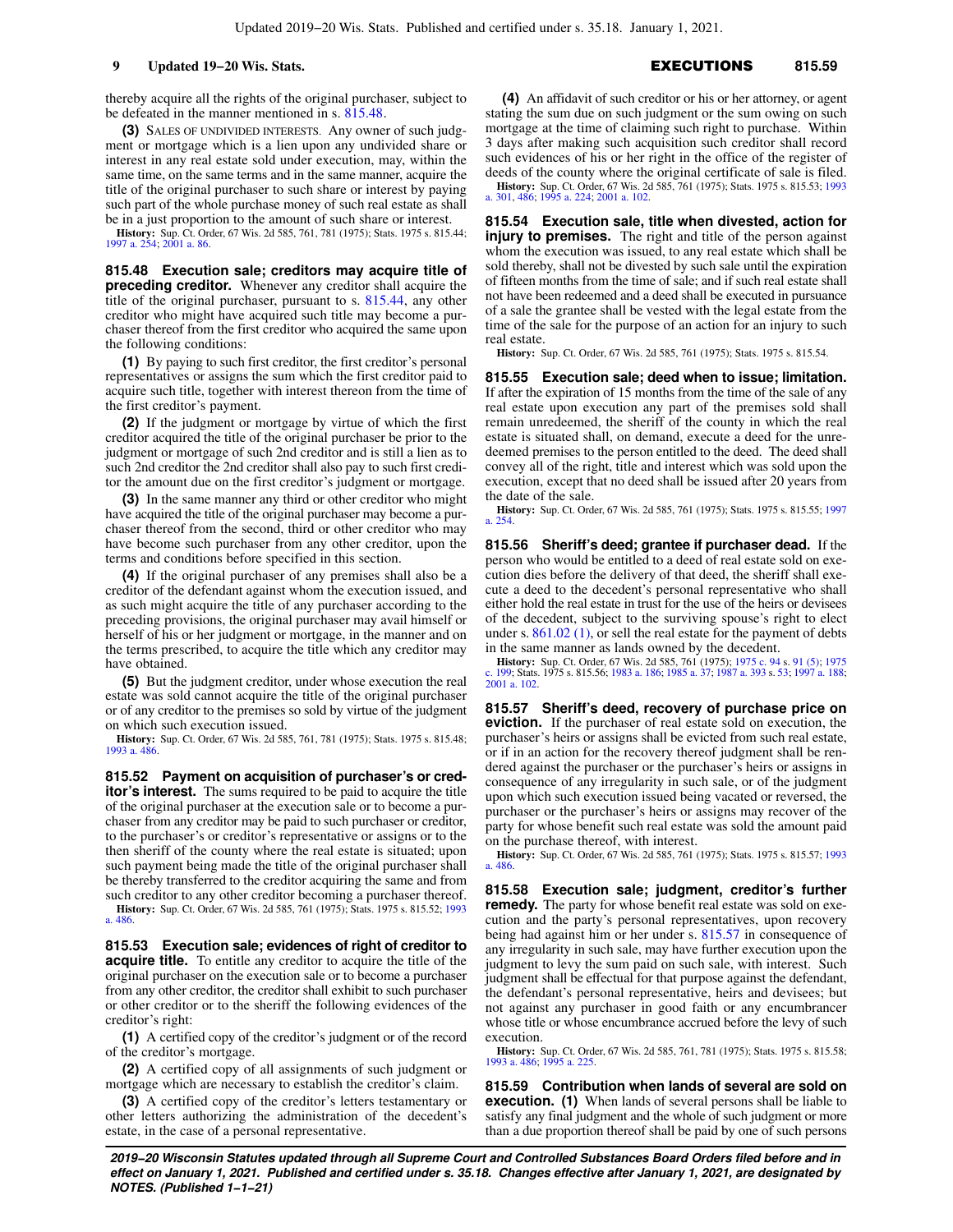thereby acquire all the rights of the original purchaser, subject to be defeated in the manner mentioned in s. [815.48](https://docs-preview.legis.wisconsin.gov/document/statutes/815.48).

**(3)** SALES OF UNDIVIDED INTERESTS. Any owner of such judgment or mortgage which is a lien upon any undivided share or interest in any real estate sold under execution, may, within the same time, on the same terms and in the same manner, acquire the title of the original purchaser to such share or interest by paying such part of the whole purchase money of such real estate as shall be in a just proportion to the amount of such share or interest.

**History:** Sup. Ct. Order, 67 Wis. 2d 585, 761, 781 (1975); Stats. 1975 s. 815.44; [1997 a. 254;](https://docs-preview.legis.wisconsin.gov/document/acts/1997/254) [2001 a. 86.](https://docs-preview.legis.wisconsin.gov/document/acts/2001/86)

**815.48 Execution sale; creditors may acquire title of preceding creditor.** Whenever any creditor shall acquire the title of the original purchaser, pursuant to s. [815.44,](https://docs-preview.legis.wisconsin.gov/document/statutes/815.44) any other creditor who might have acquired such title may become a purchaser thereof from the first creditor who acquired the same upon the following conditions:

**(1)** By paying to such first creditor, the first creditor's personal representatives or assigns the sum which the first creditor paid to acquire such title, together with interest thereon from the time of the first creditor's payment.

**(2)** If the judgment or mortgage by virtue of which the first creditor acquired the title of the original purchaser be prior to the judgment or mortgage of such 2nd creditor and is still a lien as to such 2nd creditor the 2nd creditor shall also pay to such first creditor the amount due on the first creditor's judgment or mortgage.

**(3)** In the same manner any third or other creditor who might have acquired the title of the original purchaser may become a purchaser thereof from the second, third or other creditor who may have become such purchaser from any other creditor, upon the terms and conditions before specified in this section.

**(4)** If the original purchaser of any premises shall also be a creditor of the defendant against whom the execution issued, and as such might acquire the title of any purchaser according to the preceding provisions, the original purchaser may avail himself or herself of his or her judgment or mortgage, in the manner and on the terms prescribed, to acquire the title which any creditor may have obtained.

**(5)** But the judgment creditor, under whose execution the real estate was sold cannot acquire the title of the original purchaser or of any creditor to the premises so sold by virtue of the judgment on which such execution issued.

**History:** Sup. Ct. Order, 67 Wis. 2d 585, 761, 781 (1975); Stats. 1975 s. 815.48; [1993 a. 486.](https://docs-preview.legis.wisconsin.gov/document/acts/1993/486)

**815.52 Payment on acquisition of purchaser's or creditor's interest.** The sums required to be paid to acquire the title of the original purchaser at the execution sale or to become a purchaser from any creditor may be paid to such purchaser or creditor, to the purchaser's or creditor's representative or assigns or to the then sheriff of the county where the real estate is situated; upon such payment being made the title of the original purchaser shall be thereby transferred to the creditor acquiring the same and from such creditor to any other creditor becoming a purchaser thereof.

**History:** Sup. Ct. Order, 67 Wis. 2d 585, 761 (1975); Stats. 1975 s. 815.52; [1993](https://docs-preview.legis.wisconsin.gov/document/acts/1993/486) [a. 486.](https://docs-preview.legis.wisconsin.gov/document/acts/1993/486)

**815.53 Execution sale; evidences of right of creditor to acquire title.** To entitle any creditor to acquire the title of the original purchaser on the execution sale or to become a purchaser from any other creditor, the creditor shall exhibit to such purchaser or other creditor or to the sheriff the following evidences of the creditor's right:

**(1)** A certified copy of the creditor's judgment or of the record of the creditor's mortgage.

**(2)** A certified copy of all assignments of such judgment or mortgage which are necessary to establish the creditor's claim.

**(3)** A certified copy of the creditor's letters testamentary or other letters authorizing the administration of the decedent's estate, in the case of a personal representative.

**(4)** An affidavit of such creditor or his or her attorney, or agent stating the sum due on such judgment or the sum owing on such mortgage at the time of claiming such right to purchase. Within 3 days after making such acquisition such creditor shall record such evidences of his or her right in the office of the register of deeds of the county where the original certificate of sale is filed. **History:** Sup. Ct. Order, 67 Wis. 2d 585, 761 (1975); Stats. 1975 s. 815.53; [1993](https://docs-preview.legis.wisconsin.gov/document/acts/1993/301) [a. 301](https://docs-preview.legis.wisconsin.gov/document/acts/1993/301), [486](https://docs-preview.legis.wisconsin.gov/document/acts/1993/486); [1995 a. 224;](https://docs-preview.legis.wisconsin.gov/document/acts/1995/224) [2001 a. 102.](https://docs-preview.legis.wisconsin.gov/document/acts/2001/102)

**815.54 Execution sale, title when divested, action for injury to premises.** The right and title of the person against whom the execution was issued, to any real estate which shall be sold thereby, shall not be divested by such sale until the expiration of fifteen months from the time of sale; and if such real estate shall not have been redeemed and a deed shall be executed in pursuance of a sale the grantee shall be vested with the legal estate from the time of the sale for the purpose of an action for an injury to such real estate.

**History:** Sup. Ct. Order, 67 Wis. 2d 585, 761 (1975); Stats. 1975 s. 815.54.

**815.55 Execution sale; deed when to issue; limitation.** If after the expiration of 15 months from the time of the sale of any real estate upon execution any part of the premises sold shall remain unredeemed, the sheriff of the county in which the real estate is situated shall, on demand, execute a deed for the unredeemed premises to the person entitled to the deed. The deed shall convey all of the right, title and interest which was sold upon the execution, except that no deed shall be issued after 20 years from the date of the sale.

**History:** Sup. Ct. Order, 67 Wis. 2d 585, 761 (1975); Stats. 1975 s. 815.55; [1997](https://docs-preview.legis.wisconsin.gov/document/acts/1997/254) [a. 254](https://docs-preview.legis.wisconsin.gov/document/acts/1997/254).

**815.56 Sheriff's deed; grantee if purchaser dead.** If the person who would be entitled to a deed of real estate sold on execution dies before the delivery of that deed, the sheriff shall execute a deed to the decedent's personal representative who shall either hold the real estate in trust for the use of the heirs or devisees of the decedent, subject to the surviving spouse's right to elect under s. [861.02 \(1\)](https://docs-preview.legis.wisconsin.gov/document/statutes/861.02(1)), or sell the real estate for the payment of debts in the same manner as lands owned by the decedent.

**History:** Sup. Ct. Order, 67 Wis. 2d 585, 761 (1975); [1975 c. 94](https://docs-preview.legis.wisconsin.gov/document/acts/1975/94) s. [91 \(5\);](https://docs-preview.legis.wisconsin.gov/document/acts/1975/94,%20s.%2091) [1975](https://docs-preview.legis.wisconsin.gov/document/acts/1975/199) [c. 199;](https://docs-preview.legis.wisconsin.gov/document/acts/1975/199) Stats. 1975 s. 815.56; [1983 a. 186;](https://docs-preview.legis.wisconsin.gov/document/acts/1983/186) [1985 a. 37;](https://docs-preview.legis.wisconsin.gov/document/acts/1985/37) [1987 a. 393](https://docs-preview.legis.wisconsin.gov/document/acts/1987/393) s. [53;](https://docs-preview.legis.wisconsin.gov/document/acts/1987/393,%20s.%2053) [1997 a. 188](https://docs-preview.legis.wisconsin.gov/document/acts/1997/188); [2001 a. 102.](https://docs-preview.legis.wisconsin.gov/document/acts/2001/102)

**815.57 Sheriff's deed, recovery of purchase price on eviction.** If the purchaser of real estate sold on execution, the purchaser's heirs or assigns shall be evicted from such real estate, or if in an action for the recovery thereof judgment shall be rendered against the purchaser or the purchaser's heirs or assigns in consequence of any irregularity in such sale, or of the judgment upon which such execution issued being vacated or reversed, the purchaser or the purchaser's heirs or assigns may recover of the party for whose benefit such real estate was sold the amount paid on the purchase thereof, with interest.

**History:** Sup. Ct. Order, 67 Wis. 2d 585, 761 (1975); Stats. 1975 s. 815.57; [1993](https://docs-preview.legis.wisconsin.gov/document/acts/1993/486) [a. 486](https://docs-preview.legis.wisconsin.gov/document/acts/1993/486).

**815.58 Execution sale; judgment, creditor's further remedy.** The party for whose benefit real estate was sold on execution and the party's personal representatives, upon recovery being had against him or her under s. [815.57](https://docs-preview.legis.wisconsin.gov/document/statutes/815.57) in consequence of any irregularity in such sale, may have further execution upon the judgment to levy the sum paid on such sale, with interest. Such judgment shall be effectual for that purpose against the defendant, the defendant's personal representative, heirs and devisees; but not against any purchaser in good faith or any encumbrancer whose title or whose encumbrance accrued before the levy of such execution.

**History:** Sup. Ct. Order, 67 Wis. 2d 585, 761, 781 (1975); Stats. 1975 s. 815.58; [1993 a. 486;](https://docs-preview.legis.wisconsin.gov/document/acts/1993/486) [1995 a. 225.](https://docs-preview.legis.wisconsin.gov/document/acts/1995/225)

**815.59 Contribution when lands of several are sold on execution. (1)** When lands of several persons shall be liable to satisfy any final judgment and the whole of such judgment or more than a due proportion thereof shall be paid by one of such persons

**2019−20 Wisconsin Statutes updated through all Supreme Court and Controlled Substances Board Orders filed before and in effect on January 1, 2021. Published and certified under s. 35.18. Changes effective after January 1, 2021, are designated by NOTES. (Published 1−1−21)**

#### 9 **Updated 19−20 Wis. Stats. EXECUTIONS** 815.59